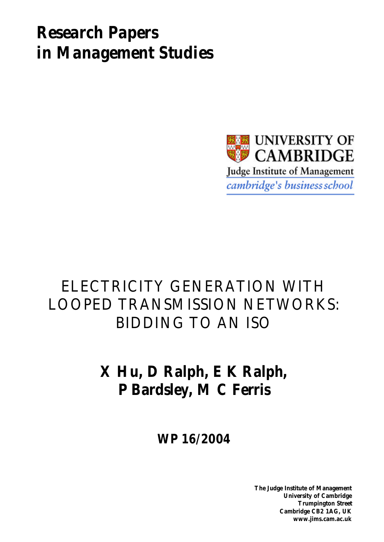# *Research Papers in Management Studies*



### ELECTRICITY GENERATION WITH LOOPED TRANSMISSION NETWORKS: BIDDING TO AN ISO

## **X Hu, D Ralph, E K Ralph, P Bardsley, M C Ferris**

**WP 16/2004**

**The Judge Institute of Management University of Cambridge Trumpington Street Cambridge CB2 1AG, UK www.jims.cam.ac.uk**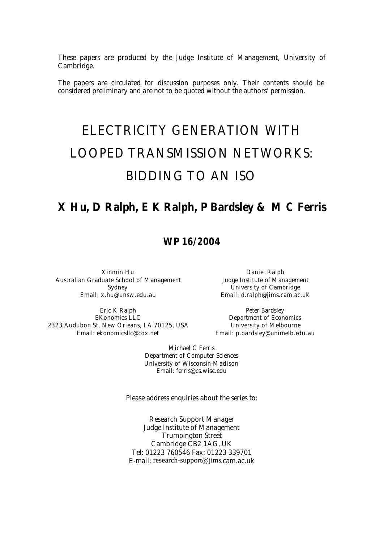These papers are produced by the Judge Institute of Management, University of Cambridge.

The papers are circulated for discussion purposes only. Their contents should be considered preliminary and are not to be quoted without the authors' permission.

## ELECTRICITY GENERATION WITH LOOPED TRANSMISSION NETWORKS: BIDDING TO AN ISO

### **X Hu, D Ralph, E K Ralph, P Bardsley & M C Ferris**

### **WP 16/2004**

Xinmin Hu Australian Graduate School of Management Sydney Email: x.hu@unsw.edu.au

Eric K Ralph EKonomics LLC 2323 Audubon St, New Orleans, LA 70125, USA Email: ekonomicsllc@cox.net

Daniel Ralph Judge Institute of Management University of Cambridge Email: d.ralph@jims.cam.ac.uk

Peter Bardsley Department of Economics University of Melbourne Email: p.bardsley@unimelb.edu.au

Michael C Ferris Department of Computer Sciences University of Wisconsin-Madison Email: ferris@cs.wisc.edu

Please address enquiries about the series to:

Research Support Manager Judge Institute of Management Trumpington Street Cambridge CB2 1AG, UK Tel: 01223 760546 Fax: 01223 339701 E-mail: research-support@jims.cam.ac.uk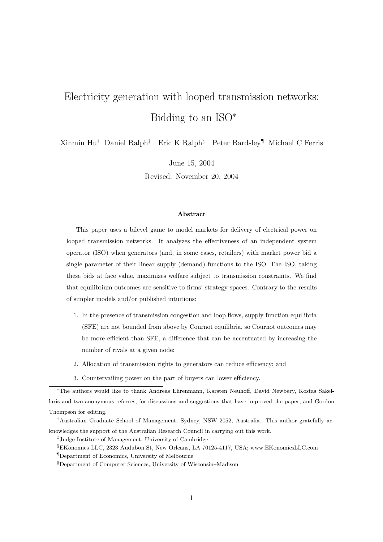### Electricity generation with looped transmission networks: Bidding to an ISO<sup>∗</sup>

Xinmin Hu† Daniel Ralph‡ Eric K Ralph§ Peter Bardsley¶ Michael C Ferris<sup>k</sup>

June 15, 2004

Revised: November 20, 2004

#### Abstract

This paper uses a bilevel game to model markets for delivery of electrical power on looped transmission networks. It analyzes the effectiveness of an independent system operator (ISO) when generators (and, in some cases, retailers) with market power bid a single parameter of their linear supply (demand) functions to the ISO. The ISO, taking these bids at face value, maximizes welfare subject to transmission constraints. We find that equilibrium outcomes are sensitive to firms' strategy spaces. Contrary to the results of simpler models and/or published intuitions:

- 1. In the presence of transmission congestion and loop flows, supply function equilibria (SFE) are not bounded from above by Cournot equilibria, so Cournot outcomes may be more efficient than SFE, a difference that can be accentuated by increasing the number of rivals at a given node;
- 2. Allocation of transmission rights to generators can reduce efficiency; and
- 3. Countervailing power on the part of buyers can lower efficiency.

<sup>∗</sup>The authors would like to thank Andreas Ehrenmann, Karsten Neuhoff, David Newbery, Kostas Sakellaris and two anonymous referees, for discussions and suggestions that have improved the paper; and Gordon Thompson for editing.

<sup>†</sup>Australian Graduate School of Management, Sydney, NSW 2052, Australia. This author gratefully acknowledges the support of the Australian Research Council in carrying out this work.

<sup>‡</sup> Judge Institute of Management, University of Cambridge

<sup>§</sup>EKonomics LLC, 2323 Audubon St, New Orleans, LA 70125-4117, USA; www.EKonomicsLLC.com

<sup>¶</sup>Department of Economics, University of Melbourne

<sup>k</sup>Department of Computer Sciences, University of Wisconsin–Madison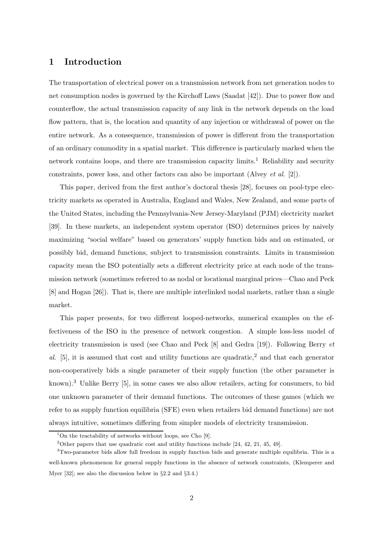#### 1 Introduction

The transportation of electrical power on a transmission network from net generation nodes to net consumption nodes is governed by the Kirchoff Laws (Saadat [42]). Due to power flow and counterflow, the actual transmission capacity of any link in the network depends on the load flow pattern, that is, the location and quantity of any injection or withdrawal of power on the entire network. As a consequence, transmission of power is different from the transportation of an ordinary commodity in a spatial market. This difference is particularly marked when the network contains loops, and there are transmission capacity  $\text{limits.}^{1}$  Reliability and security constraints, power loss, and other factors can also be important (Alvey et al. [2]).

This paper, derived from the first author's doctoral thesis [28], focuses on pool-type electricity markets as operated in Australia, England and Wales, New Zealand, and some parts of the United States, including the Pennsylvania-New Jersey-Maryland (PJM) electricity market [39]. In these markets, an independent system operator (ISO) determines prices by naively maximizing "social welfare" based on generators' supply function bids and on estimated, or possibly bid, demand functions, subject to transmission constraints. Limits in transmission capacity mean the ISO potentially sets a different electricity price at each node of the transmission network (sometimes referred to as nodal or locational marginal prices—Chao and Peck [8] and Hogan [26]). That is, there are multiple interlinked nodal markets, rather than a single market.

This paper presents, for two different looped-networks, numerical examples on the effectiveness of the ISO in the presence of network congestion. A simple loss-less model of electricity transmission is used (see Chao and Peck  $[8]$  and Gedra  $[19]$ ). Following Berry  $et$ al.  $[5]$ , it is assumed that cost and utility functions are quadratic,<sup>2</sup> and that each generator non-cooperatively bids a single parameter of their supply function (the other parameter is known).<sup>3</sup> Unlike Berry [5], in some cases we also allow retailers, acting for consumers, to bid one unknown parameter of their demand functions. The outcomes of these games (which we refer to as supply function equilibria (SFE) even when retailers bid demand functions) are not always intuitive, sometimes differing from simpler models of electricity transmission.

<sup>&</sup>lt;sup>1</sup>On the tractability of networks without loops, see Cho [9].

<sup>&</sup>lt;sup>2</sup>Other papers that use quadratic cost and utility functions include [24, 42, 21, 45, 49].

<sup>3</sup>Two-parameter bids allow full freedom in supply function bids and generate multiple equilibria. This is a well-known phenomenon for general supply functions in the absence of network constraints, (Klemperer and Myer [32]; see also the discussion below in §2.2 and §3.4.)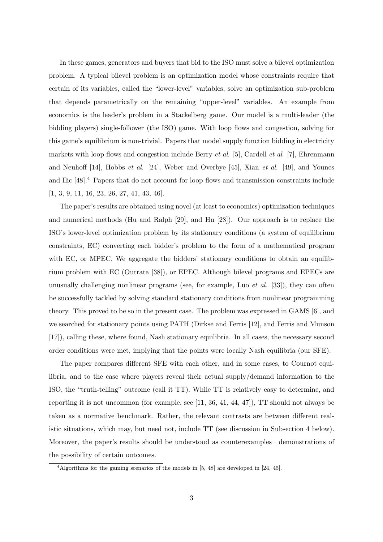In these games, generators and buyers that bid to the ISO must solve a bilevel optimization problem. A typical bilevel problem is an optimization model whose constraints require that certain of its variables, called the "lower-level" variables, solve an optimization sub-problem that depends parametrically on the remaining "upper-level" variables. An example from economics is the leader's problem in a Stackelberg game. Our model is a multi-leader (the bidding players) single-follower (the ISO) game. With loop flows and congestion, solving for this game's equilibrium is non-trivial. Papers that model supply function bidding in electricity markets with loop flows and congestion include Berry *et al.* [5], Cardell *et al.* [7], Ehrenmann and Neuhoff [14], Hobbs et al. [24], Weber and Overbye [45], Xian et al. [49], and Younes and Ilic [48].<sup>4</sup> Papers that do not account for loop flows and transmission constraints include [1, 3, 9, 11, 16, 23, 26, 27, 41, 43, 46].

The paper's results are obtained using novel (at least to economics) optimization techniques and numerical methods (Hu and Ralph [29], and Hu [28]). Our approach is to replace the ISO's lower-level optimization problem by its stationary conditions (a system of equilibrium constraints, EC) converting each bidder's problem to the form of a mathematical program with EC, or MPEC. We aggregate the bidders' stationary conditions to obtain an equilibrium problem with EC (Outrata [38]), or EPEC. Although bilevel programs and EPECs are unusually challenging nonlinear programs (see, for example, Luo *et al.* [33]), they can often be successfully tackled by solving standard stationary conditions from nonlinear programming theory. This proved to be so in the present case. The problem was expressed in GAMS [6], and we searched for stationary points using PATH (Dirkse and Ferris [12], and Ferris and Munson [17]), calling these, where found, Nash stationary equilibria. In all cases, the necessary second order conditions were met, implying that the points were locally Nash equilibria (our SFE).

The paper compares different SFE with each other, and in some cases, to Cournot equilibria, and to the case where players reveal their actual supply/demand information to the ISO, the "truth-telling" outcome (call it TT). While TT is relatively easy to determine, and reporting it is not uncommon (for example, see [11, 36, 41, 44, 47]), TT should not always be taken as a normative benchmark. Rather, the relevant contrasts are between different realistic situations, which may, but need not, include TT (see discussion in Subsection 4 below). Moreover, the paper's results should be understood as counterexamples—demonstrations of the possibility of certain outcomes.

<sup>4</sup>Algorithms for the gaming scenarios of the models in [5, 48] are developed in [24, 45].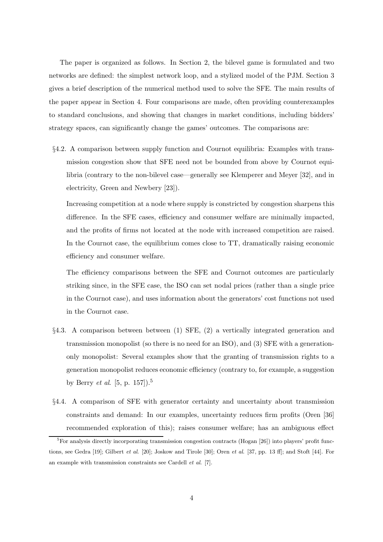The paper is organized as follows. In Section 2, the bilevel game is formulated and two networks are defined: the simplest network loop, and a stylized model of the PJM. Section 3 gives a brief description of the numerical method used to solve the SFE. The main results of the paper appear in Section 4. Four comparisons are made, often providing counterexamples to standard conclusions, and showing that changes in market conditions, including bidders' strategy spaces, can significantly change the games' outcomes. The comparisons are:

§4.2. A comparison between supply function and Cournot equilibria: Examples with transmission congestion show that SFE need not be bounded from above by Cournot equilibria (contrary to the non-bilevel case—generally see Klemperer and Meyer [32], and in electricity, Green and Newbery [23]).

Increasing competition at a node where supply is constricted by congestion sharpens this difference. In the SFE cases, efficiency and consumer welfare are minimally impacted, and the profits of firms not located at the node with increased competition are raised. In the Cournot case, the equilibrium comes close to TT, dramatically raising economic efficiency and consumer welfare.

The efficiency comparisons between the SFE and Cournot outcomes are particularly striking since, in the SFE case, the ISO can set nodal prices (rather than a single price in the Cournot case), and uses information about the generators' cost functions not used in the Cournot case.

- §4.3. A comparison between between (1) SFE, (2) a vertically integrated generation and transmission monopolist (so there is no need for an ISO), and (3) SFE with a generationonly monopolist: Several examples show that the granting of transmission rights to a generation monopolist reduces economic efficiency (contrary to, for example, a suggestion by Berry *et al.* [5, p. 157]).<sup>5</sup>
- §4.4. A comparison of SFE with generator certainty and uncertainty about transmission constraints and demand: In our examples, uncertainty reduces firm profits (Oren [36] recommended exploration of this); raises consumer welfare; has an ambiguous effect

 ${}^{5}$ For analysis directly incorporating transmission congestion contracts (Hogan [26]) into players' profit functions, see Gedra [19]; Gilbert et al. [20]; Joskow and Tirole [30]; Oren et al. [37, pp. 13 ff]; and Stoft [44]. For an example with transmission constraints see Cardell et al. [7].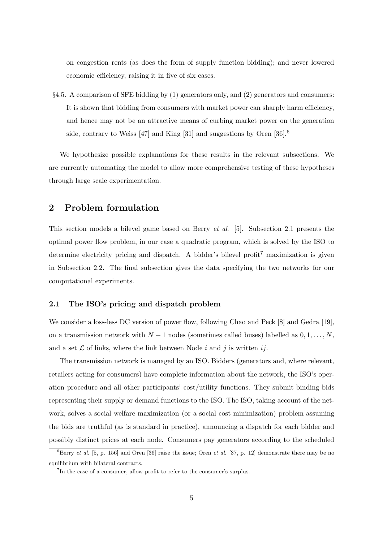on congestion rents (as does the form of supply function bidding); and never lowered economic efficiency, raising it in five of six cases.

§4.5. A comparison of SFE bidding by (1) generators only, and (2) generators and consumers: It is shown that bidding from consumers with market power can sharply harm efficiency, and hence may not be an attractive means of curbing market power on the generation side, contrary to Weiss [47] and King [31] and suggestions by Oren [36].<sup>6</sup>

We hypothesize possible explanations for these results in the relevant subsections. We are currently automating the model to allow more comprehensive testing of these hypotheses through large scale experimentation.

#### 2 Problem formulation

This section models a bilevel game based on Berry et al. [5]. Subsection 2.1 presents the optimal power flow problem, in our case a quadratic program, which is solved by the ISO to determine electricity pricing and dispatch. A bidder's bilevel profit<sup>7</sup> maximization is given in Subsection 2.2. The final subsection gives the data specifying the two networks for our computational experiments.

#### 2.1 The ISO's pricing and dispatch problem

We consider a loss-less DC version of power flow, following Chao and Peck  $[8]$  and Gedra  $[19]$ , on a transmission network with  $N+1$  nodes (sometimes called buses) labelled as  $0, 1, \ldots, N$ , and a set  $\mathcal L$  of links, where the link between Node i and j is written ij.

The transmission network is managed by an ISO. Bidders (generators and, where relevant, retailers acting for consumers) have complete information about the network, the ISO's operation procedure and all other participants' cost/utility functions. They submit binding bids representing their supply or demand functions to the ISO. The ISO, taking account of the network, solves a social welfare maximization (or a social cost minimization) problem assuming the bids are truthful (as is standard in practice), announcing a dispatch for each bidder and possibly distinct prices at each node. Consumers pay generators according to the scheduled

<sup>&</sup>lt;sup>6</sup>Berry *et al.* [5, p. 156] and Oren [36] raise the issue; Oren *et al.* [37, p. 12] demonstrate there may be no equilibrium with bilateral contracts.

<sup>&</sup>lt;sup>7</sup>In the case of a consumer, allow profit to refer to the consumer's surplus.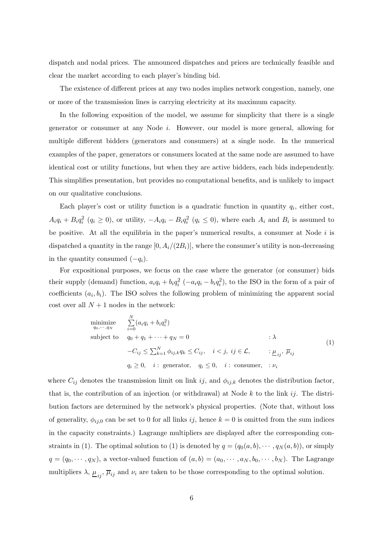dispatch and nodal prices. The announced dispatches and prices are technically feasible and clear the market according to each player's binding bid.

The existence of different prices at any two nodes implies network congestion, namely, one or more of the transmission lines is carrying electricity at its maximum capacity.

In the following exposition of the model, we assume for simplicity that there is a single generator or consumer at any Node i. However, our model is more general, allowing for multiple different bidders (generators and consumers) at a single node. In the numerical examples of the paper, generators or consumers located at the same node are assumed to have identical cost or utility functions, but when they are active bidders, each bids independently. This simplifies presentation, but provides no computational benefits, and is unlikely to impact on our qualitative conclusions.

Each player's cost or utility function is a quadratic function in quantity  $q_i$ , either cost,  $A_iq_i + B_iq_i^2$   $(q_i \ge 0)$ , or utility,  $-A_iq_i - B_iq_i^2$   $(q_i \le 0)$ , where each  $A_i$  and  $B_i$  is assumed to be positive. At all the equilibria in the paper's numerical results, a consumer at Node  $i$  is dispatched a quantity in the range  $[0, A_i/(2B_i)],$  where the consumer's utility is non-decreasing in the quantity consumed  $(-q_i)$ .

For expositional purposes, we focus on the case where the generator (or consumer) bids their supply (demand) function,  $a_i q_i + b_i q_i^2$  ( $-a_i q_i - b_i q_i^2$ ), to the ISO in the form of a pair of coefficients  $(a_i, b_i)$ . The ISO solves the following problem of minimizing the apparent social cost over all  $N + 1$  nodes in the network:

$$
\begin{aligned}\n\minimize \quad & \sum_{q_0, \dots, q_N}^N (a_i q_i + b_i q_i^2) \\
\text{subject to} \quad & q_0 + q_1 + \dots + q_N = 0 \quad \text{(1)} \\
& -C_{ij} \le \sum_{k=1}^N \phi_{ij,k} q_k \le C_{ij}, \quad i < j, \ ij \in \mathcal{L}, \quad \mu_{ij}, \ \overline{\mu}_{ij} \\
& q_i \ge 0, \quad i: \text{ generator}, \quad q_i \le 0, \quad i: \text{ consumer}, \quad \nu_i\n\end{aligned}
$$

where  $C_{ij}$  denotes the transmission limit on link ij, and  $\phi_{ij,k}$  denotes the distribution factor, that is, the contribution of an injection (or withdrawal) at Node  $k$  to the link ij. The distribution factors are determined by the network's physical properties. (Note that, without loss of generality,  $\phi_{ij,0}$  can be set to 0 for all links ij, hence  $k = 0$  is omitted from the sum indices in the capacity constraints.) Lagrange multipliers are displayed after the corresponding constraints in (1). The optimal solution to (1) is denoted by  $q = (q_0(a, b), \dots, q_N(a, b))$ , or simply  $q = (q_0, \dots, q_N)$ , a vector-valued function of  $(a, b) = (a_0, \dots, a_N, b_0, \dots, b_N)$ . The Lagrange multipliers  $\lambda$ ,  $\underline{\mu}_{ij}$ ,  $\overline{\mu}_{ij}$  and  $\nu_i$  are taken to be those corresponding to the optimal solution.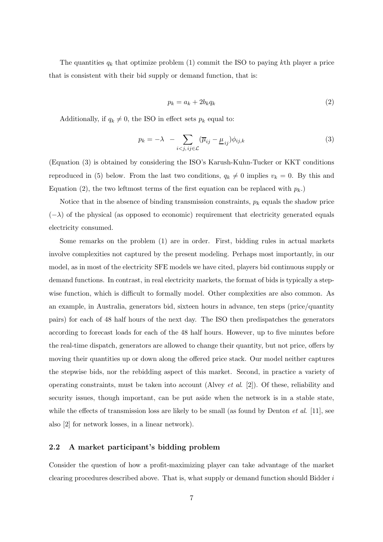The quantities  $q_k$  that optimize problem (1) commit the ISO to paying kth player a price that is consistent with their bid supply or demand function, that is:

$$
p_k = a_k + 2b_k q_k \tag{2}
$$

Additionally, if  $q_k \neq 0$ , the ISO in effect sets  $p_k$  equal to:

$$
p_k = -\lambda - \sum_{i < j, \, ij \in \mathcal{L}} (\overline{\mu}_{ij} - \underline{\mu}_{ij}) \phi_{ij,k} \tag{3}
$$

(Equation (3) is obtained by considering the ISO's Karush-Kuhn-Tucker or KKT conditions reproduced in (5) below. From the last two conditions,  $q_k \neq 0$  implies  $v_k = 0$ . By this and Equation (2), the two leftmost terms of the first equation can be replaced with  $p_k$ .

Notice that in the absence of binding transmission constraints,  $p_k$  equals the shadow price  $(-\lambda)$  of the physical (as opposed to economic) requirement that electricity generated equals electricity consumed.

Some remarks on the problem (1) are in order. First, bidding rules in actual markets involve complexities not captured by the present modeling. Perhaps most importantly, in our model, as in most of the electricity SFE models we have cited, players bid continuous supply or demand functions. In contrast, in real electricity markets, the format of bids is typically a stepwise function, which is difficult to formally model. Other complexities are also common. As an example, in Australia, generators bid, sixteen hours in advance, ten steps (price/quantity pairs) for each of 48 half hours of the next day. The ISO then predispatches the generators according to forecast loads for each of the 48 half hours. However, up to five minutes before the real-time dispatch, generators are allowed to change their quantity, but not price, offers by moving their quantities up or down along the offered price stack. Our model neither captures the stepwise bids, nor the rebidding aspect of this market. Second, in practice a variety of operating constraints, must be taken into account (Alvey *et al.* [2]). Of these, reliability and security issues, though important, can be put aside when the network is in a stable state, while the effects of transmission loss are likely to be small (as found by Denton  $et$  al. [11], see also [2] for network losses, in a linear network).

#### 2.2 A market participant's bidding problem

Consider the question of how a profit-maximizing player can take advantage of the market clearing procedures described above. That is, what supply or demand function should Bidder i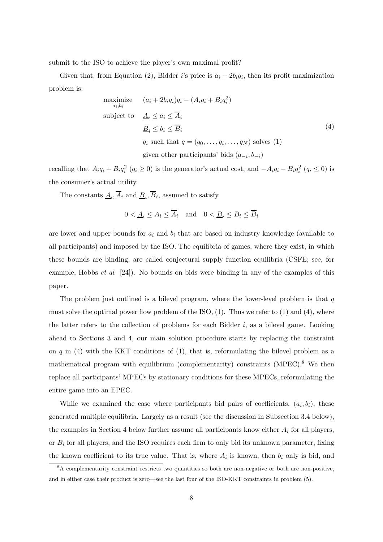submit to the ISO to achieve the player's own maximal profit?

Given that, from Equation (2), Bidder i's price is  $a_i + 2b_iq_i$ , then its profit maximization problem is:

maximize 
$$
(a_i + 2b_iq_i)q_i - (A_iq_i + B_iq_i^2)
$$
  
\nsubject to  $\underline{A}_i \le a_i \le \overline{A}_i$   
\n $\underline{B}_i \le b_i \le \overline{B}_i$   
\n $q_i$  such that  $q = (q_0, \dots, q_i, \dots, q_N)$  solves (1)  
\ngiven other participants' bids  $(a_{-i}, b_{-i})$ 

recalling that  $A_i q_i + B_i q_i^2$   $(q_i \ge 0)$  is the generator's actual cost, and  $-A_i q_i - B_i q_i^2$   $(q_i \le 0)$  is the consumer's actual utility.

The constants  $\underline{A}_i$ ,  $A_i$  and  $\underline{B}_i$ ,  $B_i$ , assumed to satisfy

$$
0 < \underline{A}_i \le A_i \le \overline{A}_i \quad \text{and} \quad 0 < \underline{B}_i \le B_i \le \overline{B}_i
$$

are lower and upper bounds for  $a_i$  and  $b_i$  that are based on industry knowledge (available to all participants) and imposed by the ISO. The equilibria of games, where they exist, in which these bounds are binding, are called conjectural supply function equilibria (CSFE; see, for example, Hobbs *et al.* [24]). No bounds on bids were binding in any of the examples of this paper.

The problem just outlined is a bilevel program, where the lower-level problem is that  $q$ must solve the optimal power flow problem of the ISO,  $(1)$ . Thus we refer to  $(1)$  and  $(4)$ , where the latter refers to the collection of problems for each Bidder  $i$ , as a bilevel game. Looking ahead to Sections 3 and 4, our main solution procedure starts by replacing the constraint on q in  $(4)$  with the KKT conditions of  $(1)$ , that is, reformulating the bilevel problem as a mathematical program with equilibrium (complementarity) constraints  $(MPEC)^8$ . We then replace all participants' MPECs by stationary conditions for these MPECs, reformulating the entire game into an EPEC.

While we examined the case where participants bid pairs of coefficients,  $(a_i, b_i)$ , these generated multiple equilibria. Largely as a result (see the discussion in Subsection 3.4 below), the examples in Section 4 below further assume all participants know either  $A_i$  for all players, or  $B_i$  for all players, and the ISO requires each firm to only bid its unknown parameter, fixing the known coefficient to its true value. That is, where  $A_i$  is known, then  $b_i$  only is bid, and

<sup>&</sup>lt;sup>8</sup>A complementarity constraint restricts two quantities so both are non-negative or both are non-positive, and in either case their product is zero—see the last four of the ISO-KKT constraints in problem (5).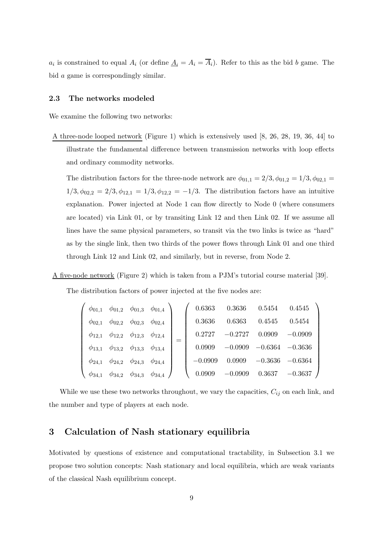$a_i$  is constrained to equal  $A_i$  (or define  $\underline{A}_i = A_i = A_i$ ). Refer to this as the bid b game. The bid a game is correspondingly similar.

#### 2.3 The networks modeled

We examine the following two networks:

A three-node looped network (Figure 1) which is extensively used [8, 26, 28, 19, 36, 44] to illustrate the fundamental difference between transmission networks with loop effects and ordinary commodity networks.

The distribution factors for the three-node network are  $\phi_{01,1} = 2/3, \phi_{01,2} = 1/3, \phi_{02,1} =$  $1/3, \phi_{02,2} = 2/3, \phi_{12,1} = 1/3, \phi_{12,2} = -1/3$ . The distribution factors have an intuitive explanation. Power injected at Node 1 can flow directly to Node 0 (where consumers are located) via Link 01, or by transiting Link 12 and then Link 02. If we assume all lines have the same physical parameters, so transit via the two links is twice as "hard" as by the single link, then two thirds of the power flows through Link 01 and one third through Link 12 and Link 02, and similarly, but in reverse, from Node 2.

A five-node network (Figure 2) which is taken from a PJM's tutorial course material [39].

The distribution factors of power injected at the five nodes are:

|               | $\phi_{01,1}$ $\phi_{01,2}$ $\phi_{01,3}$ $\phi_{01,4}$ |                             |  |           | $0.6363$ $0.3636$ $0.5454$ $0.4545$ |                               |           |
|---------------|---------------------------------------------------------|-----------------------------|--|-----------|-------------------------------------|-------------------------------|-----------|
|               | $\phi_{02,1}$ $\phi_{02,2}$ $\phi_{02,3}$ $\phi_{02,4}$ |                             |  | 0.3636    | 0.6363                              | 0.4545                        | 0.5454    |
|               | $\phi_{12,1}$ $\phi_{12,2}$ $\phi_{12,3}$ $\phi_{12,4}$ |                             |  | 0.2727    | $-0.2727$                           | 0.0909                        | $-0.0909$ |
|               | $\phi_{13,1}$ $\phi_{13,2}$ $\phi_{13,3}$ $\phi_{13,4}$ |                             |  | 0.0909    |                                     | $-0.0909$ $-0.6364$ $-0.3636$ |           |
|               | $\phi_{24,1}$ $\phi_{24,2}$ $\phi_{24,3}$ $\phi_{24,4}$ |                             |  | $-0.0909$ | 0.0909                              | $-0.3636$                     | $-0.6364$ |
| $\phi_{34,1}$ | $\phi_{34,2}$                                           | $\phi_{34,3}$ $\phi_{34,4}$ |  | 0.0909    | $-0.0909$                           | $0.3637 -0.3637$              |           |

While we use these two networks throughout, we vary the capacities,  $C_{ij}$  on each link, and the number and type of players at each node.

#### 3 Calculation of Nash stationary equilibria

Motivated by questions of existence and computational tractability, in Subsection 3.1 we propose two solution concepts: Nash stationary and local equilibria, which are weak variants of the classical Nash equilibrium concept.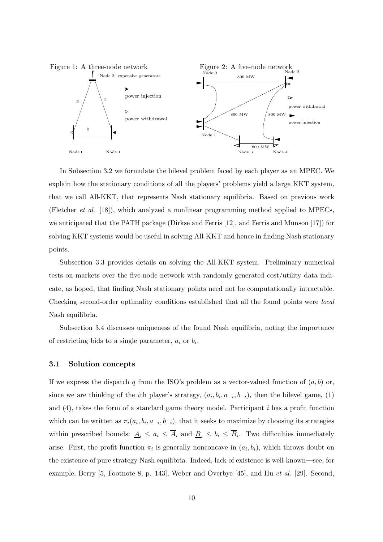

In Subsection 3.2 we formulate the bilevel problem faced by each player as an MPEC. We explain how the stationary conditions of all the players' problems yield a large KKT system, that we call All-KKT, that represents Nash stationary equilibria. Based on previous work (Fletcher et al. [18]), which analyzed a nonlinear programming method applied to MPECs, we anticipated that the PATH package (Dirkse and Ferris [12], and Ferris and Munson [17]) for solving KKT systems would be useful in solving All-KKT and hence in finding Nash stationary points.

Subsection 3.3 provides details on solving the All-KKT system. Preliminary numerical tests on markets over the five-node network with randomly generated cost/utility data indicate, as hoped, that finding Nash stationary points need not be computationally intractable. Checking second-order optimality conditions established that all the found points were local Nash equilibria.

Subsection 3.4 discusses uniqueness of the found Nash equilibria, noting the importance of restricting bids to a single parameter,  $a_i$  or  $b_i$ .

#### 3.1 Solution concepts

If we express the dispatch q from the ISO's problem as a vector-valued function of  $(a, b)$  or, since we are thinking of the *i*th player's strategy,  $(a_i, b_i, a_{-i}, b_{-i})$ , then the bilevel game, (1) and (4), takes the form of a standard game theory model. Participant i has a profit function which can be written as  $\pi_i(a_i, b_i, a_{-i}, b_{-i})$ , that it seeks to maximize by choosing its strategies within prescribed bounds:  $\underline{A}_i \leq a_i \leq A_i$  and  $\underline{B}_i \leq b_i \leq B_i$ . Two difficulties immediately arise. First, the profit function  $\pi_i$  is generally nonconcave in  $(a_i, b_i)$ , which throws doubt on the existence of pure strategy Nash equilibria. Indeed, lack of existence is well-known—see, for example, Berry [5, Footnote 8, p. 143], Weber and Overbye [45], and Hu et al. [29]. Second,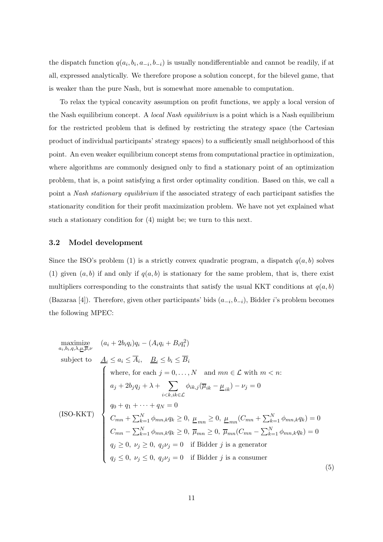the dispatch function  $q(a_i, b_i, a_{-i}, b_{-i})$  is usually nondifferentiable and cannot be readily, if at all, expressed analytically. We therefore propose a solution concept, for the bilevel game, that is weaker than the pure Nash, but is somewhat more amenable to computation.

To relax the typical concavity assumption on profit functions, we apply a local version of the Nash equilibrium concept. A local Nash equilibrium is a point which is a Nash equilibrium for the restricted problem that is defined by restricting the strategy space (the Cartesian product of individual participants' strategy spaces) to a sufficiently small neighborhood of this point. An even weaker equilibrium concept stems from computational practice in optimization, where algorithms are commonly designed only to find a stationary point of an optimization problem, that is, a point satisfying a first order optimality condition. Based on this, we call a point a Nash stationary equilibrium if the associated strategy of each participant satisfies the stationarity condition for their profit maximization problem. We have not yet explained what such a stationary condition for (4) might be; we turn to this next.

#### 3.2 Model development

Since the ISO's problem (1) is a strictly convex quadratic program, a dispatch  $q(a, b)$  solves (1) given  $(a, b)$  if and only if  $q(a, b)$  is stationary for the same problem, that is, there exist multipliers corresponding to the constraints that satisfy the usual KKT conditions at  $q(a, b)$ (Bazaraa [4]). Therefore, given other participants' bids  $(a_{-i}, b_{-i})$ , Bidder *i*'s problem becomes the following MPEC:

maximize  
\na<sub>i</sub>,<sub>b<sub>i</sub>,<sub>q</sub>,<sub>\lambda</sub>,<sub>\underline{\mu},\overline{\mu},\nu</sub> 
$$
(a_i + 2b_iq_i)q_i - (A_iq_i + B_iq_i^2)
$$
  
\nsubject to  
\n
$$
\underline{A}_i \leq a_i \leq \overline{A}_i, \quad \underline{B}_i \leq b_i \leq \overline{B}_i
$$
\nwhere, for each  $j = 0, ..., N$  and  $mn \in \mathcal{L}$  with  $m < n$ :  
\n
$$
a_j + 2b_jq_j + \lambda + \sum_{i < k, i,k \in \mathcal{L}} \phi_{ik,j}(\overline{\mu}_{ik} - \underline{\mu}_{ik}) - \nu_j = 0
$$
\n(ISO-KKT)  
\n
$$
q_0 + q_1 + \cdots + q_N = 0
$$
\n
$$
C_{mn} + \sum_{k=1}^N \phi_{mn,k}q_k \geq 0, \quad \underline{\mu}_{mn} \geq 0, \quad \underline{\mu}_{mn}(C_{mn} + \sum_{k=1}^N \phi_{mn,k}q_k) = 0
$$
\n
$$
C_{mn} - \sum_{k=1}^N \phi_{mn,k}q_k \geq 0, \quad \overline{\mu}_{mn} \geq 0, \quad \overline{\mu}_{mn}(C_{mn} - \sum_{k=1}^N \phi_{mn,k}q_k) = 0
$$
\n
$$
q_j \geq 0, \quad \nu_j \geq 0, \quad q_j\nu_j = 0 \quad \text{if Bidder } j \text{ is a generator}
$$
\n
$$
q_j \leq 0, \quad \nu_j \leq 0, \quad q_j\nu_j = 0 \quad \text{if Bidder } j \text{ is a consumer}
$$
\n(5)</sub>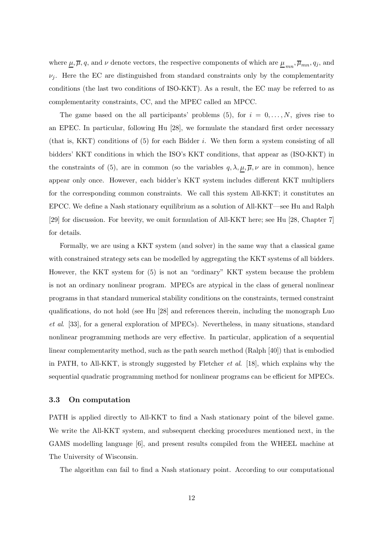where  $\underline{\mu}, \overline{\mu}, q$ , and  $\nu$  denote vectors, the respective components of which are  $\underline{\mu}_{mn}, \overline{\mu}_{mn}, q_j$ , and  $\nu_i$ . Here the EC are distinguished from standard constraints only by the complementarity conditions (the last two conditions of ISO-KKT). As a result, the EC may be referred to as complementarity constraints, CC, and the MPEC called an MPCC.

The game based on the all participants' problems (5), for  $i = 0, \ldots, N$ , gives rise to an EPEC. In particular, following Hu [28], we formulate the standard first order necessary (that is, KKT) conditions of  $(5)$  for each Bidder i. We then form a system consisting of all bidders' KKT conditions in which the ISO's KKT conditions, that appear as (ISO-KKT) in the constraints of (5), are in common (so the variables  $q, \lambda, \mu, \overline{\mu}, \nu$  are in common), hence appear only once. However, each bidder's KKT system includes different KKT multipliers for the corresponding common constraints. We call this system All-KKT; it constitutes an EPCC. We define a Nash stationary equilibrium as a solution of All-KKT—see Hu and Ralph [29] for discussion. For brevity, we omit formulation of All-KKT here; see Hu [28, Chapter 7] for details.

Formally, we are using a KKT system (and solver) in the same way that a classical game with constrained strategy sets can be modelled by aggregating the KKT systems of all bidders. However, the KKT system for (5) is not an "ordinary" KKT system because the problem is not an ordinary nonlinear program. MPECs are atypical in the class of general nonlinear programs in that standard numerical stability conditions on the constraints, termed constraint qualifications, do not hold (see Hu [28] and references therein, including the monograph Luo et al. [33], for a general exploration of MPECs). Nevertheless, in many situations, standard nonlinear programming methods are very effective. In particular, application of a sequential linear complementarity method, such as the path search method (Ralph [40]) that is embodied in PATH, to All-KKT, is strongly suggested by Fletcher *et al.* [18], which explains why the sequential quadratic programming method for nonlinear programs can be efficient for MPECs.

#### 3.3 On computation

PATH is applied directly to All-KKT to find a Nash stationary point of the bilevel game. We write the All-KKT system, and subsequent checking procedures mentioned next, in the GAMS modelling language [6], and present results compiled from the WHEEL machine at The University of Wisconsin.

The algorithm can fail to find a Nash stationary point. According to our computational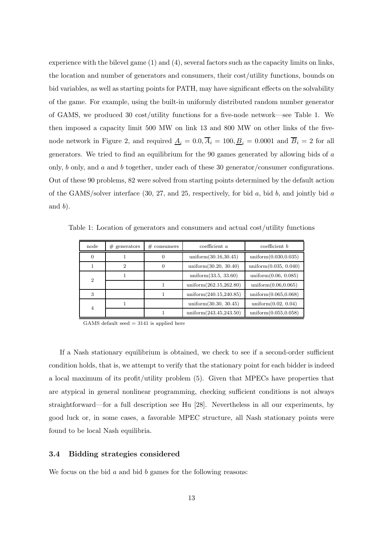experience with the bilevel game (1) and (4), several factors such as the capacity limits on links, the location and number of generators and consumers, their cost/utility functions, bounds on bid variables, as well as starting points for PATH, may have significant effects on the solvability of the game. For example, using the built-in uniformly distributed random number generator of GAMS, we produced 30 cost/utility functions for a five-node network—see Table 1. We then imposed a capacity limit 500 MW on link 13 and 800 MW on other links of the fivenode network in Figure 2, and required  $\underline{A}_i = 0.0, \overline{A}_i = 100, \underline{B}_i = 0.0001$  and  $\overline{B}_i = 2$  for all generators. We tried to find an equilibrium for the 90 games generated by allowing bids of a only, b only, and a and b together, under each of these 30 generator/consumer configurations. Out of these 90 problems, 82 were solved from starting points determined by the default action of the GAMS/solver interface  $(30, 27,$  and  $25$ , respectively, for bid a, bid b, and jointly bid a and  $b$ ).

Table 1: Location of generators and consumers and actual cost/utility functions

| node           | $#$ generators | $# \; \text{consumers}$ | coefficient a            | $\alpha$ coefficient $b$ |
|----------------|----------------|-------------------------|--------------------------|--------------------------|
| 0              |                |                         | uniform $(30.16, 30.45)$ | uniform $(0.030, 0.035)$ |
|                | 2              |                         | uniform $(30.20, 30.40)$ | uniform $(0.035, 0.040)$ |
| $\overline{2}$ |                |                         | uniform $(33.5, 33.60)$  | uniform $(0.06, 0.085)$  |
|                |                |                         | uniform(262.15,262.80)   | uniform(0.06, 0.065)     |
| 3              |                |                         | uniform(240.15,240.85)   | uniform $(0.065, 0.068)$ |
| 4              |                |                         | uniform $(30.30, 30.45)$ | uniform $(0.02, 0.04)$   |
|                |                |                         | uniform(243.45,243.50)   | uniform $(0.055, 0.058)$ |

GAMS default seed  $= 3141$  is applied here

If a Nash stationary equilibrium is obtained, we check to see if a second-order sufficient condition holds, that is, we attempt to verify that the stationary point for each bidder is indeed a local maximum of its profit/utility problem (5). Given that MPECs have properties that are atypical in general nonlinear programming, checking sufficient conditions is not always straightforward—for a full description see Hu [28]. Nevertheless in all our experiments, by good luck or, in some cases, a favorable MPEC structure, all Nash stationary points were found to be local Nash equilibria.

#### 3.4 Bidding strategies considered

We focus on the bid  $a$  and bid  $b$  games for the following reasons: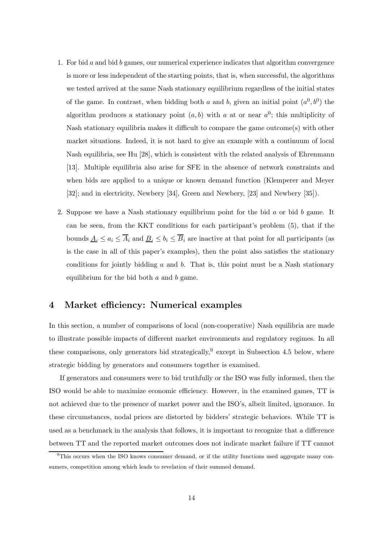- 1. For bid  $a$  and bid  $b$  games, our numerical experience indicates that algorithm convergence is more or less independent of the starting points, that is, when successful, the algorithms we tested arrived at the same Nash stationary equilibrium regardless of the initial states of the game. In contrast, when bidding both a and b, given an initial point  $(a^0, b^0)$  the algorithm produces a stationary point  $(a, b)$  with a at or near  $a^0$ ; this multiplicity of Nash stationary equilibria makes it difficult to compare the game outcome(s) with other market situations. Indeed, it is not hard to give an example with a continuum of local Nash equilibria, see Hu [28], which is consistent with the related analysis of Ehrenmann [13]. Multiple equilibria also arise for SFE in the absence of network constraints and when bids are applied to a unique or known demand function (Klemperer and Meyer [32]; and in electricity, Newbery [34], Green and Newbery, [23] and Newbery [35]).
- 2. Suppose we have a Nash stationary equilibrium point for the bid a or bid b game. It can be seen, from the KKT conditions for each participant's problem (5), that if the bounds  $\underline{A}_i \leq a_i \leq \overline{A}_i$  and  $\underline{B}_i \leq b_i \leq \overline{B}_i$  are inactive at that point for all participants (as is the case in all of this paper's examples), then the point also satisfies the stationary conditions for jointly bidding  $a$  and  $b$ . That is, this point must be a Nash stationary equilibrium for the bid both  $a$  and  $b$  game.

#### 4 Market efficiency: Numerical examples

In this section, a number of comparisons of local (non-cooperative) Nash equilibria are made to illustrate possible impacts of different market environments and regulatory regimes. In all these comparisons, only generators bid strategically,<sup>9</sup> except in Subsection 4.5 below, where strategic bidding by generators and consumers together is examined.

If generators and consumers were to bid truthfully or the ISO was fully informed, then the ISO would be able to maximize economic efficiency. However, in the examined games, TT is not achieved due to the presence of market power and the ISO's, albeit limited, ignorance. In these circumstances, nodal prices are distorted by bidders' strategic behaviors. While TT is used as a benchmark in the analysis that follows, it is important to recognize that a difference between TT and the reported market outcomes does not indicate market failure if TT cannot

<sup>&</sup>lt;sup>9</sup>This occurs when the ISO knows consumer demand, or if the utility functions used aggregate many consumers, competition among which leads to revelation of their summed demand.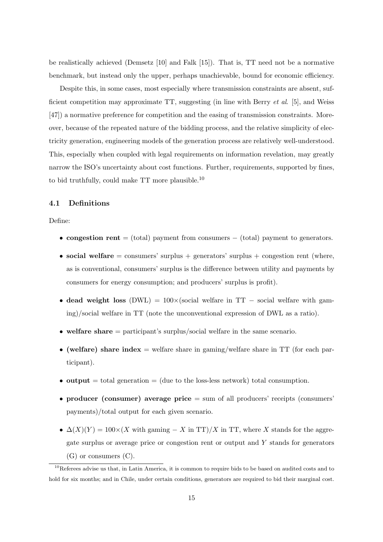be realistically achieved (Demsetz [10] and Falk [15]). That is, TT need not be a normative benchmark, but instead only the upper, perhaps unachievable, bound for economic efficiency.

Despite this, in some cases, most especially where transmission constraints are absent, sufficient competition may approximate TT, suggesting (in line with Berry et al. [5], and Weiss [47]) a normative preference for competition and the easing of transmission constraints. Moreover, because of the repeated nature of the bidding process, and the relative simplicity of electricity generation, engineering models of the generation process are relatively well-understood. This, especially when coupled with legal requirements on information revelation, may greatly narrow the ISO's uncertainty about cost functions. Further, requirements, supported by fines, to bid truthfully, could make  $TT$  more plausible.<sup>10</sup>

#### 4.1 Definitions

#### Define:

- congestion rent = (total) payment from consumers  $-$  (total) payment to generators.
- social welfare  $=$  consumers' surplus  $+$  generators' surplus  $+$  congestion rent (where, as is conventional, consumers' surplus is the difference between utility and payments by consumers for energy consumption; and producers' surplus is profit).
- dead weight loss (DWL) =  $100 \times$ (social welfare in TT social welfare with gaming)/social welfare in TT (note the unconventional expression of DWL as a ratio).
- welfare share  $=$  participant's surplus/social welfare in the same scenario.
- (welfare) share index  $=$  welfare share in gaming/welfare share in TT (for each participant).
- output  $=$  total generation  $=$  (due to the loss-less network) total consumption.
- producer (consumer) average price  $=$  sum of all producers' receipts (consumers' payments)/total output for each given scenario.
- $\Delta(X)(Y) = 100 \times (X \text{ with gaining } X \text{ in TT})/X \text{ in TT}$ , where X stands for the aggregate surplus or average price or congestion rent or output and  $Y$  stands for generators (G) or consumers (C).

<sup>&</sup>lt;sup>10</sup>Referees advise us that, in Latin America, it is common to require bids to be based on audited costs and to hold for six months; and in Chile, under certain conditions, generators are required to bid their marginal cost.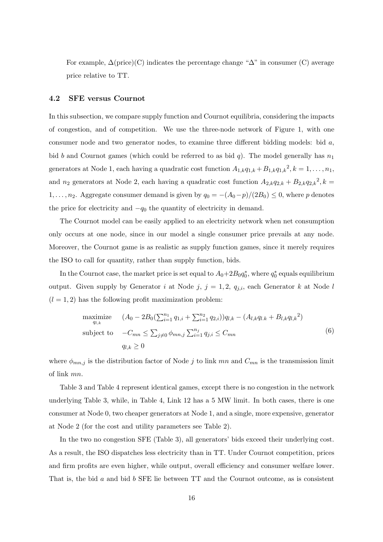For example,  $\Delta$ (price)(C) indicates the percentage change " $\Delta$ " in consumer (C) average price relative to TT.

#### 4.2 SFE versus Cournot

In this subsection, we compare supply function and Cournot equilibria, considering the impacts of congestion, and of competition. We use the three-node network of Figure 1, with one consumer node and two generator nodes, to examine three different bidding models: bid a, bid b and Cournot games (which could be referred to as bid q). The model generally has  $n_1$ generators at Node 1, each having a quadratic cost function  $A_{1,k}q_{1,k} + B_{1,k}q_{1,k}^2$ ,  $k = 1, \ldots, n_1$ , and  $n_2$  generators at Node 2, each having a quadratic cost function  $A_{2,k}q_{2,k} + B_{2,k}q_{2,k}^2$ ,  $k =$ 1, ...,  $n_2$ . Aggregate consumer demand is given by  $q_0 = -(A_0 - p)/(2B_0) \leq 0$ , where p denotes the price for electricity and  $-q_0$  the quantity of electricity in demand.

The Cournot model can be easily applied to an electricity network when net consumption only occurs at one node, since in our model a single consumer price prevails at any node. Moreover, the Cournot game is as realistic as supply function games, since it merely requires the ISO to call for quantity, rather than supply function, bids.

In the Cournot case, the market price is set equal to  $A_0+2B_0q_0^*$ , where  $q_0^*$  equals equilibrium output. Given supply by Generator i at Node j,  $j = 1, 2, q_{j,i}$ , each Generator k at Node l  $(l = 1, 2)$  has the following profit maximization problem:

maximize 
$$
(A_0 - 2B_0(\sum_{i=1}^{n_1} q_{1,i} + \sum_{i=1}^{n_2} q_{2,i}))q_{l,k} - (A_{l,k}q_{l,k} + B_{l,k}q_{l,k}^2)
$$
  
\nsubject to  $-C_{mn} \le \sum_{j\neq 0} \phi_{mn,j} \sum_{i=1}^{n_j} q_{j,i} \le C_{mn}$   
\n $q_{l,k} \ge 0$  (6)

where  $\phi_{mn,j}$  is the distribution factor of Node j to link mn and  $C_{mn}$  is the transmission limit of link mn.

Table 3 and Table 4 represent identical games, except there is no congestion in the network underlying Table 3, while, in Table 4, Link 12 has a 5 MW limit. In both cases, there is one consumer at Node 0, two cheaper generators at Node 1, and a single, more expensive, generator at Node 2 (for the cost and utility parameters see Table 2).

In the two no congestion SFE (Table 3), all generators' bids exceed their underlying cost. As a result, the ISO dispatches less electricity than in TT. Under Cournot competition, prices and firm profits are even higher, while output, overall efficiency and consumer welfare lower. That is, the bid a and bid b SFE lie between TT and the Cournot outcome, as is consistent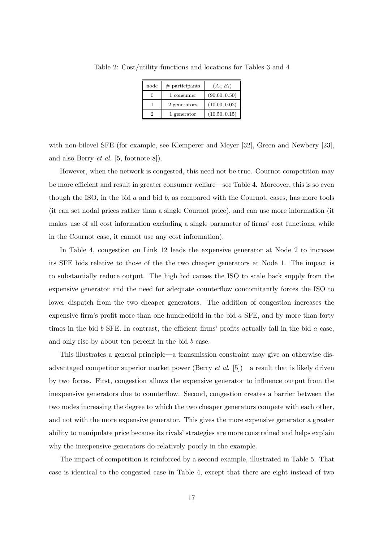| node | $#$ participants | $(A_i, B_i)$  |
|------|------------------|---------------|
|      | 1 consumer       | (90.00, 0.50) |
|      | 2 generators     | (10.00, 0.02) |
|      | 1 generator      | (10.50, 0.15) |

Table 2: Cost/utility functions and locations for Tables 3 and 4

with non-bilevel SFE (for example, see Klemperer and Meyer [32], Green and Newbery [23], and also Berry et al. [5, footnote 8]).

However, when the network is congested, this need not be true. Cournot competition may be more efficient and result in greater consumer welfare—see Table 4. Moreover, this is so even though the ISO, in the bid  $a$  and bid  $b$ , as compared with the Cournot, cases, has more tools (it can set nodal prices rather than a single Cournot price), and can use more information (it makes use of all cost information excluding a single parameter of firms' cost functions, while in the Cournot case, it cannot use any cost information).

In Table 4, congestion on Link 12 leads the expensive generator at Node 2 to increase its SFE bids relative to those of the the two cheaper generators at Node 1. The impact is to substantially reduce output. The high bid causes the ISO to scale back supply from the expensive generator and the need for adequate counterflow concomitantly forces the ISO to lower dispatch from the two cheaper generators. The addition of congestion increases the expensive firm's profit more than one hundredfold in the bid a SFE, and by more than forty times in the bid  $b$  SFE. In contrast, the efficient firms' profits actually fall in the bid  $a$  case, and only rise by about ten percent in the bid b case.

This illustrates a general principle—a transmission constraint may give an otherwise disadvantaged competitor superior market power (Berry *et al.* [5])—a result that is likely driven by two forces. First, congestion allows the expensive generator to influence output from the inexpensive generators due to counterflow. Second, congestion creates a barrier between the two nodes increasing the degree to which the two cheaper generators compete with each other, and not with the more expensive generator. This gives the more expensive generator a greater ability to manipulate price because its rivals' strategies are more constrained and helps explain why the inexpensive generators do relatively poorly in the example.

The impact of competition is reinforced by a second example, illustrated in Table 5. That case is identical to the congested case in Table 4, except that there are eight instead of two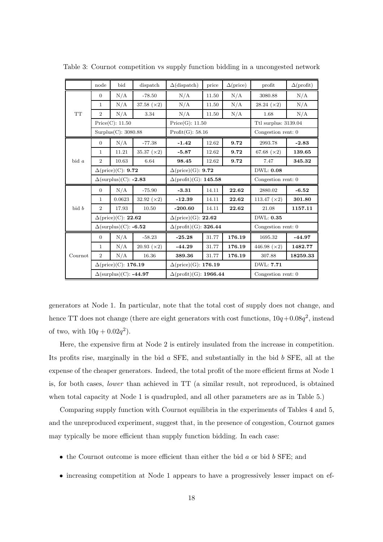|           | node                                 | bid                                   | dispatch           | $\Delta$ (dispatch)                | price | $\Delta(\text{price})$ | profit              | $\Delta$ (profit) |
|-----------|--------------------------------------|---------------------------------------|--------------------|------------------------------------|-------|------------------------|---------------------|-------------------|
|           | $\Omega$                             | N/A                                   | $-78.50$           | N/A                                | 11.50 | N/A                    | 3080.88             | N/A               |
|           | $\mathbf{1}$                         | N/A                                   | 37.58 $(x2)$       | N/A                                | 11.50 | N/A                    | $28.24 \; (x2)$     | N/A               |
| <b>TT</b> | $\overline{2}$                       | N/A                                   | 3.34               | N/A                                | 11.50 | N/A                    | 1.68                | N/A               |
|           |                                      | Price(C): 11.50                       |                    | Price(G): 11.50                    |       | Ttl surplus: 3139.04   |                     |                   |
|           | Surplus(C): 3080.88                  |                                       |                    | Profit(G): 58.16                   |       | Congestion rent: 0     |                     |                   |
|           | $\theta$                             | N/A                                   | $-77.38$           | $-1.42$                            | 12.62 | 9.72                   | 2993.78             | $-2.83$           |
|           | $\mathbf{1}$                         | 11.21                                 | 35.37 $(x2)$       | $-5.87$                            | 12.62 | 9.72                   | 67.68 $(x2)$        | 139.65            |
| bid a     | $\overline{2}$                       | 10.63                                 | 6.64               | 98.45                              | 12.62 | 9.72                   | 7.47                | 345.32            |
|           | $\Delta(\text{price})(C)$ : 9.72     |                                       |                    | $\Delta(\text{price})(G)$ : 9.72   |       |                        | DWL: 0.08           |                   |
|           | $\Delta \text{(surplus)}$ (C): -2.83 |                                       |                    | $\Delta$ (profit)(G): 145.58       |       |                        | Congestion rent: 0  |                   |
|           | $\overline{0}$                       | N/A                                   | $-75.90$           | $-3.31$                            | 14.11 | 22.62                  | 2880.02             | $-6.52$           |
|           | 1                                    | 0.0623                                | 32.92 $(x2)$       | $-12.39$                           | 14.11 | 22.62                  | 113.47 $(\times 2)$ | 301.80            |
| bid b     | $\overline{2}$                       | 17.93                                 | 10.50              | $-200.60$                          | 14.11 | 22.62                  | 21.08               | 1157.11           |
|           |                                      | $\Delta(\text{price})(C)$ : 22.62     |                    | $\Delta(\text{price})(G)$ : 22.62  |       |                        | DWL: 0.35           |                   |
|           |                                      | $\Delta \text{(surplus)}$ (C): -6.52  |                    | $\Delta$ (profit)(G): 326.44       |       |                        | Congestion rent: 0  |                   |
|           | $\overline{0}$                       | N/A                                   | $-58.23$           | $-25.28$                           | 31.77 | 176.19                 | 1695.32             | $-44.97$          |
|           | $\mathbf{1}$                         | N/A                                   | $20.93~(\times 2)$ | $-44.29$                           | 31.77 | 176.19                 | 446.98 $(x2)$       | 1482.77           |
| Cournot   | $\overline{2}$                       | N/A                                   | 16.36              | 389.36                             | 31.77 | 176.19                 | 307.88              | 18259.33          |
|           |                                      | $\Delta(\text{price})(C)$ : 176.19    |                    | $\Delta(\text{price})(G)$ : 176.19 |       |                        | DWL: 7.71           |                   |
|           |                                      | $\Delta \text{(surplus)}$ (C): -44.97 |                    | $\Delta$ (profit)(G): 1966.44      |       |                        | Congestion rent: 0  |                   |

Table 3: Cournot competition vs supply function bidding in a uncongested network

generators at Node 1. In particular, note that the total cost of supply does not change, and hence TT does not change (there are eight generators with cost functions,  $10q + 0.08q^2$ , instead of two, with  $10q + 0.02q^2$ .

Here, the expensive firm at Node 2 is entirely insulated from the increase in competition. Its profits rise, marginally in the bid a SFE, and substantially in the bid b SFE, all at the expense of the cheaper generators. Indeed, the total profit of the more efficient firms at Node 1 is, for both cases, lower than achieved in TT (a similar result, not reproduced, is obtained when total capacity at Node 1 is quadrupled, and all other parameters are as in Table 5.)

Comparing supply function with Cournot equilibria in the experiments of Tables 4 and 5, and the unreproduced experiment, suggest that, in the presence of congestion, Cournot games may typically be more efficient than supply function bidding. In each case:

- the Cournot outcome is more efficient than either the bid  $a$  or bid  $b$  SFE; and
- increasing competition at Node 1 appears to have a progressively lesser impact on ef-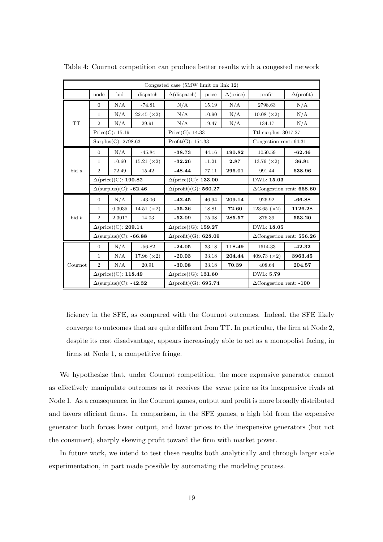|           |                                    |                                      |                    | Congested case (5MW limit on link 12) |                                    |                        |                                  |                                |  |
|-----------|------------------------------------|--------------------------------------|--------------------|---------------------------------------|------------------------------------|------------------------|----------------------------------|--------------------------------|--|
|           | node                               | bid                                  | dispatch           | $\Delta$ (dispatch)                   | price                              | $\Delta(\text{price})$ | profit                           | $\Delta$ (profit)              |  |
|           | $\overline{0}$                     | N/A                                  | $-74.81$           | N/A                                   | 15.19                              | N/A                    | 2798.63                          | N/A                            |  |
|           | $\mathbf{1}$                       | N/A                                  | 22.45 $(\times 2)$ | N/A                                   | 10.90                              | N/A                    | $10.08 \; (x2)$                  | N/A                            |  |
| <b>TT</b> | 2                                  | N/A                                  | 29.91              | N/A                                   | 19.47                              | N/A                    | 134.17                           | N/A                            |  |
|           |                                    | Price(C): 15.19                      |                    | Price(G): 14.33                       |                                    |                        | Ttl surplus: 3017.27             |                                |  |
|           | Surplus $(C)$ : 2798.63            |                                      |                    | Profit(G): 154.33                     |                                    |                        | Congestion rent: 64.31           |                                |  |
|           | $\overline{0}$                     | N/A                                  | $-45.84$           | $-38.73$                              | 44.16                              | 190.82                 | 1050.59                          | $-62.46$                       |  |
|           | $\mathbf 1$                        | 10.60                                | 15.21 (×2)         | $-32.26$                              | 11.21                              | 2.87                   | 13.79 $(x2)$                     | 36.81                          |  |
| bid a     | $\overline{2}$                     | 72.49                                | 15.42              | $-48.44$                              | 77.11                              | 296.01                 | 991.44                           | 638.96                         |  |
|           | $\Delta(\text{price})(C)$ : 190.82 |                                      |                    | $\Delta(\text{price})(G)$ : 133.00    |                                    |                        | DWL: 15.03                       |                                |  |
|           | $\Delta$ (surplus)(C): -62.46      |                                      |                    | $\Delta$ (profit)(G): 560.27          |                                    |                        | $\Delta$ Congestion rent: 668.60 |                                |  |
|           | $\overline{0}$                     | N/A                                  | $-43.06$           | $-42.45$                              | 46.94                              | 209.14                 | 926.92                           | $-66.88$                       |  |
|           | $\mathbf{1}$                       | 0.3035                               | 14.51 $(x2)$       | $-35.36$                              | 18.81                              | 72.60                  | 123.65 $(x2)$                    | 1126.28                        |  |
| bid b     | $\overline{2}$                     | 2.3017                               | 14.03              | $-53.09$                              | 75.08                              | 285.57                 | 876.39                           | 553.20                         |  |
|           |                                    | $\Delta(\text{price})$ (C): 209.14   |                    |                                       | $\Delta(\text{price})(G)$ : 159.27 |                        |                                  |                                |  |
|           |                                    | $\Delta$ (surplus)(C): -66.88        |                    | $\Delta$ (profit)(G): 628.09          |                                    |                        | $\Delta$ Congestion rent: 556.26 |                                |  |
|           | $\overline{0}$                     | N/A                                  | $-56.82$           | $-24.05$                              | 33.18                              | 118.49                 | 1614.33                          | $-42.32$                       |  |
|           | $\mathbf 1$                        | N/A                                  | 17.96 $(x2)$       | $-20.03$                              | 33.18                              | 204.44                 | 409.73 $(\times 2)$              | 3963.45                        |  |
| Cournot   | $\overline{2}$                     | N/A                                  | 20.91              | $-30.08$                              | 33.18                              | 70.39                  | 408.64                           | 204.57                         |  |
|           |                                    | $\Delta(\text{price})$ (C): 118.49   |                    | $\Delta(\text{price})(G)$ : 131.60    |                                    |                        | DWL: 5.79                        |                                |  |
|           |                                    | $\Delta(\text{surplus})(C)$ : -42.32 |                    | $\Delta$ (profit)(G): 695.74          |                                    |                        |                                  | $\Delta$ Congestion rent: -100 |  |

Table 4: Cournot competition can produce better results with a congested network

ficiency in the SFE, as compared with the Cournot outcomes. Indeed, the SFE likely converge to outcomes that are quite different from TT. In particular, the firm at Node 2, despite its cost disadvantage, appears increasingly able to act as a monopolist facing, in firms at Node 1, a competitive fringe.

We hypothesize that, under Cournot competition, the more expensive generator cannot as effectively manipulate outcomes as it receives the same price as its inexpensive rivals at Node 1. As a consequence, in the Cournot games, output and profit is more broadly distributed and favors efficient firms. In comparison, in the SFE games, a high bid from the expensive generator both forces lower output, and lower prices to the inexpensive generators (but not the consumer), sharply skewing profit toward the firm with market power.

In future work, we intend to test these results both analytically and through larger scale experimentation, in part made possible by automating the modeling process.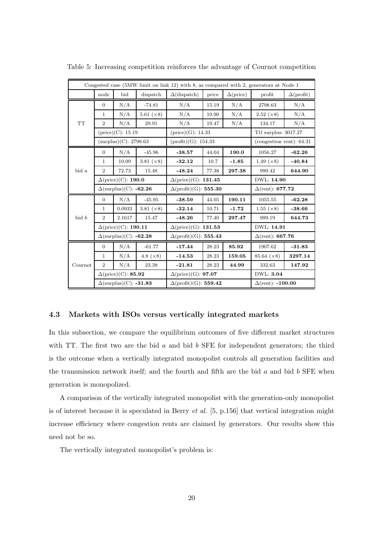|           |                               |                                    |                   | Congested case (5MW limit on link 12) with 8, as compared with 2, generators at Node 1 |                                   |                        |                          |                   |  |
|-----------|-------------------------------|------------------------------------|-------------------|----------------------------------------------------------------------------------------|-----------------------------------|------------------------|--------------------------|-------------------|--|
|           | node                          | bid                                | dispatch          | $\Delta$ (dispatch)                                                                    | price                             | $\Delta(\text{price})$ | profit                   | $\Delta$ (profit) |  |
|           | $\Omega$                      | N/A                                | $-74.81$          | N/A                                                                                    | 15.19                             | N/A                    | 2798.63                  | N/A               |  |
|           | $\mathbf{1}$                  | N/A                                | 5.61 $(\times 8)$ | N/A                                                                                    | 10.90                             | N/A                    | $2.52~(\times 8)$        | N/A               |  |
| <b>TT</b> | $\overline{2}$                | N/A                                | 29.91             | N/A                                                                                    | 19.47                             | N/A                    | 134.17                   | N/A               |  |
|           | $(\text{price})$ $(C): 15.19$ |                                    |                   | $(\text{price})(G): 14.33$                                                             |                                   |                        | Ttl surplus: 3017.27     |                   |  |
|           | (surplus)(C): 2798.63         |                                    |                   | (profit)(G): 154.33                                                                    |                                   |                        | (congestion rent): 64.31 |                   |  |
|           | $\overline{0}$                | N/A                                | $-45.96$          | $-38.57$                                                                               | 44.04                             | 190.0                  | 1056.27                  | $-62.26$          |  |
|           | $\mathbf{1}$                  | 10.09                              | 3.81 $(\times 8)$ | $-32.12$                                                                               | 10.7                              | $-1.85$                | 1.49 $(\times 8)$        | $-40.84$          |  |
| $bid\ a$  | $\overline{2}$                | 72.73                              | 15.48             | $-48.24$                                                                               | 77.38                             | 297.38                 | 999.42                   | 644.90            |  |
|           | $\Delta$ (price)(C): 190.0    |                                    |                   | $\Delta$ (price)(G): 131.45                                                            |                                   |                        | DWL: 14.90               |                   |  |
|           | $\Delta$ (surplus)(C): -62.26 |                                    |                   | $\Delta$ (profit)(G): 555.30                                                           |                                   |                        | $\Delta$ (rent): 677.72  |                   |  |
|           | $\overline{0}$                | N/A                                | $-45.95$          | $-38.59$                                                                               | 44.05                             | 190.11                 | 1055.55                  | $-62.28$          |  |
|           | $\mathbf{1}$                  | 0.0933                             | 3.81 $(\times 8)$ | $-32.14$                                                                               | 10.71                             | $-1.72$                | $1.55 \; (x8)$           | $-38.66$          |  |
| bid b     | $\overline{2}$                | 2.1617                             | 15.47             | $-48.26$                                                                               | 77.40                             | 297.47                 | 999.19                   | 644.73            |  |
|           |                               | $\Delta(\text{price})(C)$ : 190.11 |                   |                                                                                        | $\Delta(\text{price})(G): 131.53$ |                        |                          | DWL: 14.91        |  |
|           |                               | $\Delta$ (surplus)(C): -62.28      |                   | $\Delta$ (profit)(G): 555.43                                                           |                                   |                        | $\Delta$ (rent): 667.76  |                   |  |
|           | $\overline{0}$                | N/A                                | $-61.77$          | $-17.44$                                                                               | 28.23                             | 85.92                  | 1907.62                  | $-31.83$          |  |
|           | $\mathbf{1}$                  | N/A                                | 4.8 $(\times 8)$  | $-14.53$                                                                               | 28.23                             | 159.05                 | $85.64 \; (×8)$          | 3297.14           |  |
| Cournot   | $\overline{2}$                | N/A                                | 23.38             | $-21.81$                                                                               | 28.23                             | 44.99                  | 332.63                   | 147.92            |  |
|           |                               | $\Delta$ (price)(C): 85.92         |                   | $\Delta(\text{price})(G)$ : 97.07                                                      |                                   |                        | DWL: 3.04                |                   |  |
|           |                               | $\Delta$ (surplus)(C): -31.83      |                   | $\Delta$ (profit)(G): 559.42                                                           |                                   |                        | $\Delta$ (rent): -100.00 |                   |  |

Table 5: Increasing competition reinforces the advantage of Cournot competition

#### 4.3 Markets with ISOs versus vertically integrated markets

In this subsection, we compare the equilibrium outcomes of five different market structures with TT. The first two are the bid  $a$  and bid  $b$  SFE for independent generators; the third is the outcome when a vertically integrated monopolist controls all generation facilities and the transmission network itself; and the fourth and fifth are the bid  $a$  and bid  $b$  SFE when generation is monopolized.

A comparison of the vertically integrated monopolist with the generation-only monopolist is of interest because it is speculated in Berry et al. [5, p.156] that vertical integration might increase efficiency where congestion rents are claimed by generators. Our results show this need not be so.

The vertically integrated monopolist's problem is: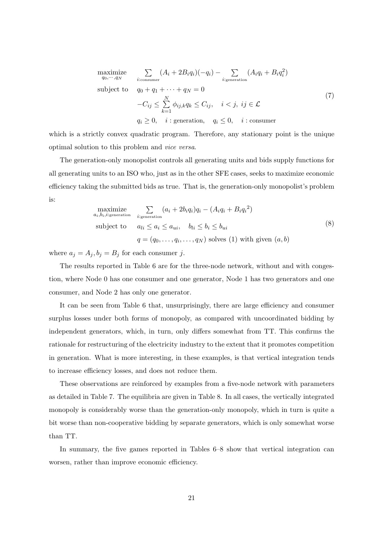maximize  
\n
$$
\sum_{q_0,\dots,q_N} (A_i + 2B_i q_i)(-q_i) - \sum_{i:\text{generation}} (A_i q_i + B_i q_i^2)
$$
\nsubject to  
\n
$$
q_0 + q_1 + \dots + q_N = 0
$$
\n
$$
-C_{ij} \le \sum_{k=1}^N \phi_{ij,k} q_k \le C_{ij}, \quad i < j, \ ij \in \mathcal{L}
$$
\n
$$
q_i \ge 0, \quad i:\text{generation}, \quad q_i \le 0, \quad i:\text{consumer}
$$
\n(7)

which is a strictly convex quadratic program. Therefore, any stationary point is the unique optimal solution to this problem and vice versa.

The generation-only monopolist controls all generating units and bids supply functions for all generating units to an ISO who, just as in the other SFE cases, seeks to maximize economic efficiency taking the submitted bids as true. That is, the generation-only monopolist's problem is:

maximize  
\n<sub>a<sub>i</sub>,b<sub>i</sub>,*i*:generation  
\nsubject to  
\n
$$
a_{li} \le a_i \le a_{ui}, \quad b_{li} \le b_i \le b_{ui}
$$
\n
$$
q = (q_0, \dots, q_i, \dots, q_N) \text{ solves (1) with given } (a, b)
$$
\n(8)</sub>

where  $a_j = A_j, b_j = B_j$  for each consumer j.

The results reported in Table 6 are for the three-node network, without and with congestion, where Node 0 has one consumer and one generator, Node 1 has two generators and one consumer, and Node 2 has only one generator.

It can be seen from Table 6 that, unsurprisingly, there are large efficiency and consumer surplus losses under both forms of monopoly, as compared with uncoordinated bidding by independent generators, which, in turn, only differs somewhat from TT. This confirms the rationale for restructuring of the electricity industry to the extent that it promotes competition in generation. What is more interesting, in these examples, is that vertical integration tends to increase efficiency losses, and does not reduce them.

These observations are reinforced by examples from a five-node network with parameters as detailed in Table 7. The equilibria are given in Table 8. In all cases, the vertically integrated monopoly is considerably worse than the generation-only monopoly, which in turn is quite a bit worse than non-cooperative bidding by separate generators, which is only somewhat worse than TT.

In summary, the five games reported in Tables 6–8 show that vertical integration can worsen, rather than improve economic efficiency.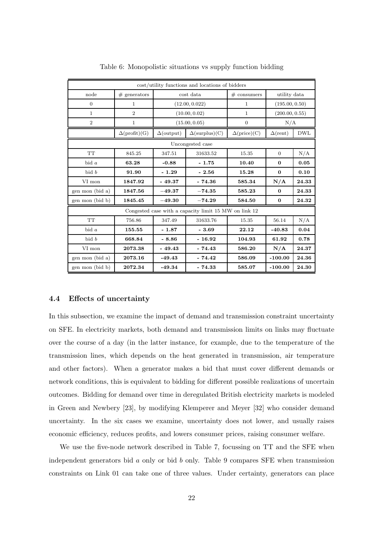|                  |                      |                                            | cost/utility functions and locations of bidders       |                           |                 |                |  |  |  |  |  |
|------------------|----------------------|--------------------------------------------|-------------------------------------------------------|---------------------------|-----------------|----------------|--|--|--|--|--|
| node             | $#$ generators       |                                            | cost data                                             | $# \; \text{consumers}$   | utility data    |                |  |  |  |  |  |
| $\theta$         | $\mathbf{1}$         |                                            | (12.00, 0.022)                                        | $\mathbf{1}$              |                 | (195.00, 0.50) |  |  |  |  |  |
| 1                | $\overline{2}$       |                                            | (10.00, 0.02)                                         | 1                         | (200.00, 0.55)  |                |  |  |  |  |  |
| $\overline{2}$   | $\mathbf 1$          |                                            | (15.00, 0.05)                                         | $\overline{0}$            | N/A             |                |  |  |  |  |  |
|                  | $\Delta$ (profit)(G) | $\Delta$ (surplus)(C)<br>$\Delta$ (output) |                                                       | $\Delta(\text{price})(C)$ | $\Delta$ (rent) | <b>DWL</b>     |  |  |  |  |  |
| Uncongested case |                      |                                            |                                                       |                           |                 |                |  |  |  |  |  |
| <b>TT</b>        | 845.25               | 347.51                                     | 31633.52                                              | 15.35                     | $\overline{0}$  | N/A            |  |  |  |  |  |
| bid $a$          | 63.28                | $-0.88$                                    | $-1.75$                                               | 10.40                     | $\Omega$        | 0.05           |  |  |  |  |  |
| bid b            | 91.90                | $-1.29$                                    | $-2.56$                                               | 15.28                     | $\bf{0}$        | 0.10           |  |  |  |  |  |
| VI mon           | 1847.92              | $-49.37$                                   | $-74.36$                                              | 585.34                    | N/A             | 24.33          |  |  |  |  |  |
| gen mon (bid a)  | 1847.56              | $-49.37$                                   | $-74.35$                                              | 585.23                    | $\mathbf{0}$    | 24.33          |  |  |  |  |  |
| gen mon (bid b)  | 1845.45              | $-49.30$                                   | $-74.29$                                              | 584.50                    | 0               | 24.32          |  |  |  |  |  |
|                  |                      |                                            | Congested case with a capacity limit 15 MW on link 12 |                           |                 |                |  |  |  |  |  |
| <b>TT</b>        | 756.86               | 347.49                                     | 31633.76                                              | 15.35                     | 56.14           | N/A            |  |  |  |  |  |
| bid $a$          | 155.55               | $-1.87$                                    | $-3.69$                                               | 22.12                     | $-40.83$        | 0.04           |  |  |  |  |  |
| bid b            | 668.84               | $-8.86$                                    | $-16.92$                                              | 104.93                    | 61.92           | 0.78           |  |  |  |  |  |
| VI mon           | 2073.38              | $-49.43$                                   | $-74.43$                                              | 586.20                    | N/A             | 24.37          |  |  |  |  |  |
| gen mon (bid a)  | 2073.16              | $-49.43$                                   | $-74.42$                                              | 586.09                    | $-100.00$       | 24.36          |  |  |  |  |  |
| gen mon (bid b)  | 2072.34              | $-49.34$                                   | $-74.33$                                              | 585.07                    | $-100.00$       | 24.30          |  |  |  |  |  |

Table 6: Monopolistic situations vs supply function bidding

#### 4.4 Effects of uncertainty

In this subsection, we examine the impact of demand and transmission constraint uncertainty on SFE. In electricity markets, both demand and transmission limits on links may fluctuate over the course of a day (in the latter instance, for example, due to the temperature of the transmission lines, which depends on the heat generated in transmission, air temperature and other factors). When a generator makes a bid that must cover different demands or network conditions, this is equivalent to bidding for different possible realizations of uncertain outcomes. Bidding for demand over time in deregulated British electricity markets is modeled in Green and Newbery [23], by modifying Klemperer and Meyer [32] who consider demand uncertainty. In the six cases we examine, uncertainty does not lower, and usually raises economic efficiency, reduces profits, and lowers consumer prices, raising consumer welfare.

We use the five-node network described in Table 7, focussing on TT and the SFE when independent generators bid  $a$  only or bid  $b$  only. Table 9 compares SFE when transmission constraints on Link 01 can take one of three values. Under certainty, generators can place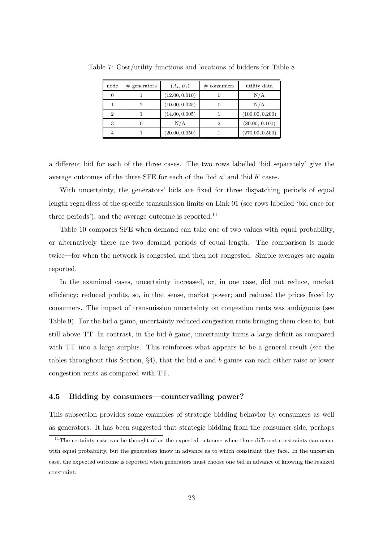| node | $#$ generators | $(A_i, B_i)$   | $# \; \text{consumers}$ | utility data    |
|------|----------------|----------------|-------------------------|-----------------|
|      |                | (12.00, 0.010) |                         | N/A             |
|      | 2              | (10.00, 0.025) |                         | N/A             |
| 2    |                | (14.00, 0.005) |                         | (100.00, 0.200) |
| 3    |                | N/A            |                         | (80.00, 0.100)  |
|      |                | (20.00, 0.050) |                         | (270.00, 0.500) |

Table 7: Cost/utility functions and locations of bidders for Table 8

a different bid for each of the three cases. The two rows labelled 'bid separately' give the average outcomes of the three SFE for each of the 'bid  $a$ ' and 'bid  $b$ ' cases.

With uncertainty, the generators' bids are fixed for three dispatching periods of equal length regardless of the specific transmission limits on Link 01 (see rows labelled 'bid once for three periods'), and the average outcome is reported. $^{11}$ 

Table 10 compares SFE when demand can take one of two values with equal probability, or alternatively there are two demand periods of equal length. The comparison is made twice—for when the network is congested and then not congested. Simple averages are again reported.

In the examined cases, uncertainty increased, or, in one case, did not reduce, market efficiency; reduced profits, so, in that sense, market power; and reduced the prices faced by consumers. The impact of transmission uncertainty on congestion rents was ambiguous (see Table 9). For the bid a game, uncertainty reduced congestion rents bringing them close to, but still above TT. In contrast, in the bid b game, uncertainty turns a large deficit as compared with TT into a large surplus. This reinforces what appears to be a general result (see the tables throughout this Section,  $\S4$ ), that the bid a and b games can each either raise or lower congestion rents as compared with TT.

#### 4.5 Bidding by consumers—countervailing power?

This subsection provides some examples of strategic bidding behavior by consumers as well as generators. It has been suggested that strategic bidding from the consumer side, perhaps

 $11$ The certainty case can be thought of as the expected outcome when three different constraints can occur with equal probability, but the generators know in advance as to which constraint they face. In the uncertain case, the expected outcome is reported when generators must choose one bid in advance of knowing the realized constraint.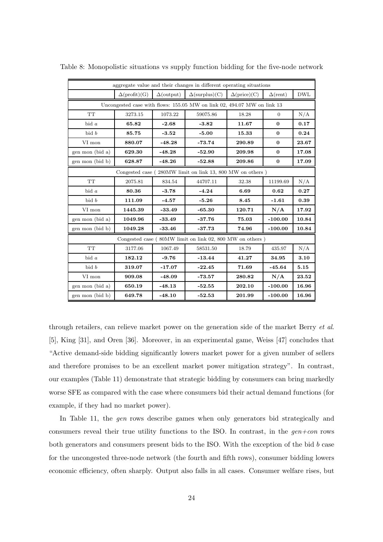|                                                           |                      |                   | aggregate value and their changes in different operating situations     |                           |                 |            |  |  |  |  |
|-----------------------------------------------------------|----------------------|-------------------|-------------------------------------------------------------------------|---------------------------|-----------------|------------|--|--|--|--|
|                                                           | $\Delta$ (profit)(G) | $\Delta$ (output) | $\Delta$ (surplus)(C)                                                   | $\Delta(\text{price})(C)$ | $\Delta$ (rent) | <b>DWL</b> |  |  |  |  |
|                                                           |                      |                   | Uncongested case with flows: 155.05 MW on link 02, 494.07 MW on link 13 |                           |                 |            |  |  |  |  |
| <b>TT</b>                                                 | 3273.15              | 1073.22           | 59075.86                                                                | 18.28                     | $\Omega$        | N/A        |  |  |  |  |
| $bid\ a$                                                  | 65.82                | $-2.68$           | $-3.82$                                                                 | 11.67                     | $\bf{0}$        | 0.17       |  |  |  |  |
| bid b                                                     | 85.75                | $-3.52$           | $-5.00$                                                                 | 15.33                     | $\Omega$        | 0.24       |  |  |  |  |
| VI mon                                                    | 880.07               | $-48.28$          | $-73.74$                                                                | 290.89                    | $\bf{0}$        | 23.67      |  |  |  |  |
| gen mon (bid a)                                           | 629.30               | $-48.28$          | $-52.90$                                                                | 209.98                    | $\bf{0}$        | 17.08      |  |  |  |  |
| gen mon (bid b)                                           | 628.87               | $-48.26$          | $-52.88$                                                                | 209.86                    | 0               | 17.09      |  |  |  |  |
| Congested case (280MW limit on link 13, 800 MW on others) |                      |                   |                                                                         |                           |                 |            |  |  |  |  |
| <b>TT</b>                                                 | 2075.81              | 834.54            | 44707.11                                                                | 32.38                     | 11199.69        | N/A        |  |  |  |  |
| bid $a$                                                   | 80.36                | $-3.78$           | $-4.24$                                                                 | 6.69                      | 0.62            | 0.27       |  |  |  |  |
| bid b                                                     | 111.09               | $-4.57$           | $-5.26$                                                                 | 8.45                      | $-1.61$         | 0.39       |  |  |  |  |
| VI mon                                                    | 1445.39              | $-33.49$          | $-65.30$                                                                | 120.71                    | N/A             | 17.92      |  |  |  |  |
| gen mon (bid a)                                           | 1049.96              | $-33.49$          | $-37.76$                                                                | 75.03                     | $-100.00$       | 10.84      |  |  |  |  |
| gen mon (bid b)                                           | 1049.28              | $-33.46$          | $-37.73$                                                                | 74.96                     | $-100.00$       | 10.84      |  |  |  |  |
|                                                           |                      |                   | Congested case (80MW limit on link 02, 800 MW on others)                |                           |                 |            |  |  |  |  |
| <b>TT</b>                                                 | 3177.06              | 1067.49           | 58531.50                                                                | 18.79                     | 435.97          | N/A        |  |  |  |  |
| $bid\ a$                                                  | 182.12               | $-9.76$           | $-13.44$                                                                | 41.27                     | 34.95           | 3.10       |  |  |  |  |
| bid b                                                     | 319.07               | $-17.07$          | $-22.45$                                                                | 71.69                     | $-45.64$        | 5.15       |  |  |  |  |
| VI mon                                                    | 909.08               | $-48.09$          | $-73.57$                                                                | 280.82                    | N/A             | 23.52      |  |  |  |  |
| gen mon (bid a)                                           | 650.19               | $-48.13$          | $-52.55$                                                                | 202.10                    | $-100.00$       | 16.96      |  |  |  |  |
| gen mon (bid b)                                           | 649.78               | $-48.10$          | $-52.53$                                                                | 201.99                    | $-100.00$       | 16.96      |  |  |  |  |

Table 8: Monopolistic situations vs supply function bidding for the five-node network

through retailers, can relieve market power on the generation side of the market Berry et al. [5], King [31], and Oren [36]. Moreover, in an experimental game, Weiss [47] concludes that "Active demand-side bidding significantly lowers market power for a given number of sellers and therefore promises to be an excellent market power mitigation strategy". In contrast, our examples (Table 11) demonstrate that strategic bidding by consumers can bring markedly worse SFE as compared with the case where consumers bid their actual demand functions (for example, if they had no market power).

In Table 11, the *gen* rows describe games when only generators bid strategically and consumers reveal their true utility functions to the ISO. In contrast, in the  $gen+con$  rows both generators and consumers present bids to the ISO. With the exception of the bid b case for the uncongested three-node network (the fourth and fifth rows), consumer bidding lowers economic efficiency, often sharply. Output also falls in all cases. Consumer welfare rises, but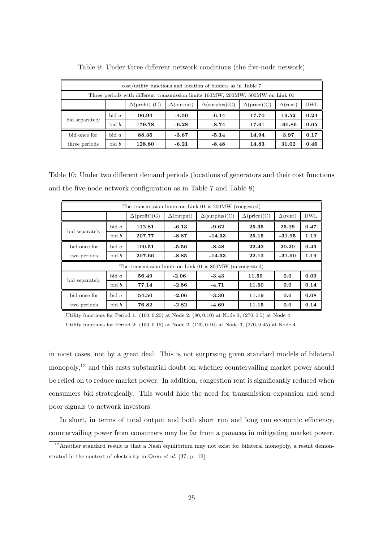| cost/utility functions and location of bidders as in Table 7                    |                                                                 |                       |                   |                       |                           |                 |            |  |  |
|---------------------------------------------------------------------------------|-----------------------------------------------------------------|-----------------------|-------------------|-----------------------|---------------------------|-----------------|------------|--|--|
| Three periods with different transmission limits 160MW, 200MW, 500MW on Link 01 |                                                                 |                       |                   |                       |                           |                 |            |  |  |
|                                                                                 |                                                                 | $\Delta$ (profit) (G) | $\Delta$ (output) | $\Delta$ (surplus)(C) | $\Delta(\text{price})(C)$ | $\Delta$ (rent) | <b>DWL</b> |  |  |
|                                                                                 | $bid\ a$                                                        | 96.94                 | $-4.50$           | $-6.14$               | 17.70                     | 19.52           | 0.24       |  |  |
| bid separately                                                                  | bid b                                                           | 179.78                | $-6.28$           | $-8.74$               | 17.61                     | $-60.86$        | 0.65       |  |  |
| bid once for                                                                    | $bid\ a$                                                        | 88.36                 | $-3.67$           | $-5.14$               | 14.94                     | 3.97            | 0.17       |  |  |
| three periods                                                                   | bid b<br>$-6.21$<br>128.80<br>$-8.48$<br>14.83<br>31.02<br>0.46 |                       |                   |                       |                           |                 |            |  |  |

Table 9: Under three different network conditions (the five-node network)

Table 10: Under two different demand periods (locations of generators and their cost functions and the five-node network configuration as in Table 7 and Table 8)

|                |           |                      |                   | The transmission limits on Link 01 is 200MW (congested)   |                           |                 |            |
|----------------|-----------|----------------------|-------------------|-----------------------------------------------------------|---------------------------|-----------------|------------|
|                |           | $\Delta$ (profit)(G) | $\Delta$ (output) | $\Delta$ (surplus)(C)                                     | $\Delta(\text{price})(C)$ | $\Delta$ (rent) | <b>DWL</b> |
|                | $bid\ a$  | 112.81               | $-6.13$           | $-9.62$                                                   | 25.35                     | 25.09           | 0.47       |
| bid separately | bid b     | 207.77               | $-8.87$           | $-14.33$                                                  | 25.15                     | $-31.95$        | 1.19       |
| bid once for   | $bid \ a$ | 100.51               | -5.56             | $-8.48$                                                   | 22.42                     | 20.20           | 0.43       |
| two periods    | bid b     | 207.66               | $-8.85$           | $-14.33$                                                  | 22.12                     | $-31.90$        | 1.19       |
|                |           |                      |                   | The transmission limits on Link 01 is 800MW (uncongested) |                           |                 |            |
| bid separately | $bid\ a$  | 56.49                | $-2.06$           | $-3.43$                                                   | 11.59                     | 0.0             | 0.09       |
|                | bid b     | 77.14                | $-2.86$           | $-4.71$                                                   | 11.60                     | 0.0             | 0.14       |
| bid once for   | bid $a$   | 54.50                | $-2.06$           | $-3.30$                                                   | 11.19                     | 0.0             | 0.08       |
| two periods    | bid b     | 76.82                | $-2.82$           | -4.69                                                     | 11.15                     | 0.0             | 0.14       |

Utility functions for Period 1:  $(100, 0.20)$  at Node 2,  $(80, 0.10)$  at Node 3,  $(270, 0.5)$  at Node 4

Utility functions for Period 2: (150, 0.15) at Node 2, (120, 0.10) at Node 3, (270, 0.45) at Node 4.

in most cases, not by a great deal. This is not surprising given standard models of bilateral monopoly,<sup>12</sup> and this casts substantial doubt on whether countervailing market power should be relied on to reduce market power. In addition, congestion rent is significantly reduced when consumers bid strategically. This would hide the need for transmission expansion and send poor signals to network investors.

In short, in terms of total output and both short run and long run economic efficiency, countervailing power from consumers may be far from a panacea in mitigating market power.

<sup>12</sup>Another standard result is that a Nash equilibrium may not exist for bilateral monopoly, a result demonstrated in the context of electricity in Oren et al. [37, p. 12].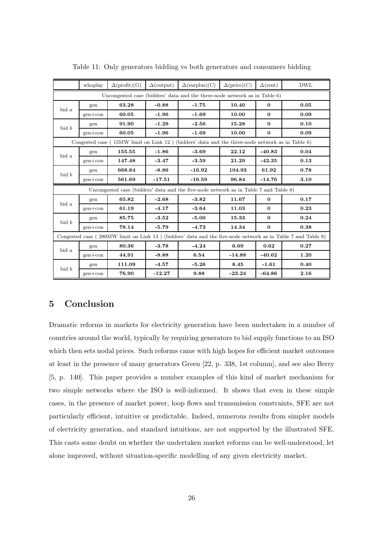|          | whoplay   | $\Delta$ (profit)(G) | $\Delta$ (output) | $\Delta(\text{surplus})(C)$                                                                     | $\Delta(\text{price})(C)$ | $\Delta$ (rent) | <b>DWL</b>                                                                                                  |
|----------|-----------|----------------------|-------------------|-------------------------------------------------------------------------------------------------|---------------------------|-----------------|-------------------------------------------------------------------------------------------------------------|
|          |           |                      |                   | Uncongested case (bidders' data and the three-node network as in Table 6)                       |                           |                 |                                                                                                             |
| $bid\ a$ | gen       | 63.28                | $-0.88$           | $-1.75$                                                                                         | 10.40                     | $\mathbf{0}$    | 0.05                                                                                                        |
|          | $gen+con$ | 60.05                | $-1.96$           | $-1.69$                                                                                         | 10.00                     | $\bf{0}$        | 0.09                                                                                                        |
| bid b    | gen       | 91.90                | $-1.29$           | $-2.56$                                                                                         | 15.28                     | $\bf{0}$        | 0.10                                                                                                        |
|          | $gen+con$ | 60.05                | $-1.96$           | $-1.69$                                                                                         | 10.00                     | $\bf{0}$        | 0.09                                                                                                        |
|          |           |                      |                   | Congested case (15MW limit on Link 12) (bidders' data and the three-node network as in Table 6) |                           |                 |                                                                                                             |
| $bid\ a$ | gen       | 155.55               | $-1.86$           | $-3.69$                                                                                         | 22.12                     | $-40.83$        | 0.04                                                                                                        |
|          | $gen+con$ | 147.48               | $-3.47$           | $-3.59$                                                                                         | 21.29                     | $-42.35$        | 0.13                                                                                                        |
| bid b    | gen       | 668.84               | $-8.86$           | $-16.92$                                                                                        | 104.93                    | 61.92           | 0.78                                                                                                        |
|          | $gen+con$ | 561.69               | $-17.51$          | $-16.59$                                                                                        | 96.84                     | $-14.76$        | 3.10                                                                                                        |
|          |           |                      |                   | Uncongested case (bidders' data and the five-node network as in Table 7 and Table 8)            |                           |                 |                                                                                                             |
| $bid\ a$ | gen       | 65.82                | $-2.68$           | $-3.82$                                                                                         | 11.67                     | $\mathbf{0}$    | 0.17                                                                                                        |
|          | $gen+con$ | 61.19                | $-4.17$           | $-3.64$                                                                                         | 11.03                     | $\bf{0}$        | 0.23                                                                                                        |
| bid b    | gen       | 85.75                | $-3.52$           | $-5.00$                                                                                         | 15.33                     | $\bf{0}$        | 0.24                                                                                                        |
|          | $gen+con$ | 78.14                | $-5.79$           | $-4.73$                                                                                         | 14.34                     | $\bf{0}$        | 0.38                                                                                                        |
|          |           |                      |                   |                                                                                                 |                           |                 | Congested case (280MW limit on Link 13) (bidders' data and the five-node network as in Table 7 and Table 8) |
| $bid\ a$ | gen       | 80.36                | $-3.78$           | $-4.24$                                                                                         | 6.69                      | 0.62            | 0.27                                                                                                        |
|          | $gen+con$ | 44.91                | $-8.88$           | 6.54                                                                                            | $-14.88$                  | $-40.62$        | 1.20                                                                                                        |
| bid b    | gen       | 111.09               | $-4.57$           | $-5.26$                                                                                         | 8.45                      | $-1.61$         | 0.40                                                                                                        |
|          | $gen+con$ | 76.90                | $-12.27$          | 9.88                                                                                            | $-23.24$                  | $-64.86$        | 2.16                                                                                                        |

Table 11: Only generators bidding vs both generators and consumers bidding

#### 5 Conclusion

Dramatic reforms in markets for electricity generation have been undertaken in a number of countries around the world, typically by requiring generators to bid supply functions to an ISO which then sets nodal prices. Such reforms came with high hopes for efficient market outcomes at least in the presence of many generators Green [22, p. 338, 1st column], and see also Berry [5, p. 140]. This paper provides a number examples of this kind of market mechanism for two simple networks where the ISO is well-informed. It shows that even in these simple cases, in the presence of market power, loop flows and transmission constraints, SFE are not particularly efficient, intuitive or predictable. Indeed, numerous results from simpler models of electricity generation, and standard intuitions, are not supported by the illustrated SFE. This casts some doubt on whether the undertaken market reforms can be well-understood, let alone improved, without situation-specific modelling of any given electricity market.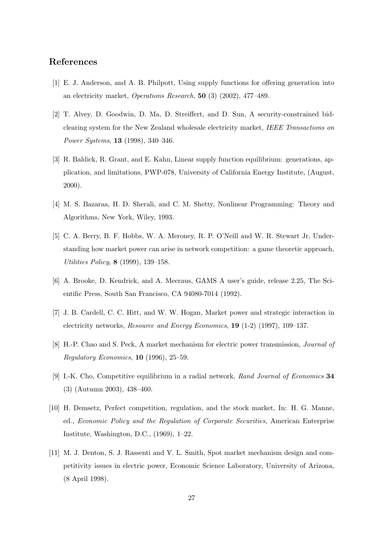#### References

- [1] E. J. Anderson, and A. B. Philpott, Using supply functions for offering generation into an electricity market, Operations Research, 50 (3) (2002), 477–489.
- [2] T. Alvey, D. Goodwin, D. Ma, D. Streiffert, and D. Sun, A security-constrained bidclearing system for the New Zealand wholesale electricity market, IEEE Transactions on Power Systems, 13 (1998), 340–346.
- [3] R. Baldick, R. Grant, and E. Kahn, Linear supply function equilibrium: generations, application, and limitations, PWP-078, University of California Energy Institute, (August, 2000).
- [4] M. S. Bazaraa, H. D. Sherali, and C. M. Shetty, Nonlinear Programming: Theory and Algorithms, New York, Wiley, 1993.
- [5] C. A. Berry, B. F. Hobbs, W. A. Meroney, R. P. O'Neill and W. R. Stewart Jr, Understanding how market power can arise in network competition: a game theoretic approach, Utilities Policy, 8 (1999), 139–158.
- [6] A. Brooke, D. Kendrick, and A. Meeraus, GAMS A user's guide, release 2.25, The Scientific Press, South San Francisco, CA 94080-7014 (1992).
- [7] J. B. Cardell, C. C. Hitt, and W. W. Hogan, Market power and strategic interaction in electricity networks, *Resource and Energy Economics*, **19** (1-2) (1997), 109–137.
- [8] H.-P. Chao and S. Peck, A market mechanism for electric power transmission, Journal of  $\textit{Regularory Economics}, 10 (1996), 25-59.$
- [9] I.-K. Cho, Competitive equilibrium in a radial network, Rand Journal of Economics 34 (3) (Autumn 2003), 438–460.
- [10] H. Demsetz, Perfect competition, regulation, and the stock market, In: H. G. Manne, ed., Economic Policy and the Regulation of Corporate Securities, American Enterprise Institute, Washington, D.C., (1969), 1–22.
- [11] M. J. Denton, S. J. Rassenti and V. L. Smith, Spot market mechanism design and competitivity issues in electric power, Economic Science Laboratory, University of Arizona, (8 April 1998).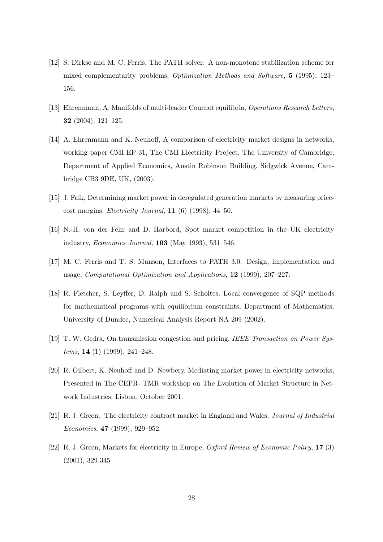- [12] S. Dirkse and M. C. Ferris, The PATH solver: A non-monotone stabilization scheme for mixed complementarity problems, Optimization Methods and Software, 5 (1995), 123– 156.
- [13] Ehrenmann, A. Manifolds of multi-leader Cournot equilibria, Operations Research Letters, 32 (2004), 121–125.
- [14] A. Ehrenmann and K. Neuhoff, A comparison of electricity market designs in networks, working paper CMI EP 31, The CMI Electricity Project, The University of Cambridge, Department of Applied Economics, Austin Robinson Building, Sidgwick Avenue, Cambridge CB3 9DE, UK, (2003).
- [15] J. Falk, Determining market power in deregulated generation markets by measuring pricecost margins, Electricity Journal, 11 (6) (1998), 44–50.
- [16] N.-H. von der Fehr and D. Harbord, Spot market competition in the UK electricity industry, Economics Journal, 103 (May 1993), 531–546.
- [17] M. C. Ferris and T. S. Munson, Interfaces to PATH 3.0: Design, implementation and usage, Computational Optimization and Applications, 12 (1999), 207–227.
- [18] R. Fletcher, S. Leyffer, D. Ralph and S. Scholtes, Local convergence of SQP methods for mathematical programs with equilibrium constraints, Department of Mathematics, University of Dundee, Numerical Analysis Report NA 209 (2002).
- [19] T. W. Gedra, On transmission congestion and pricing, IEEE Transaction on Power Systems, 14 (1) (1999), 241–248.
- [20] R. Gilbert, K. Neuhoff and D. Newbery, Mediating market power in electricity networks, Presented in The CEPR- TMR workshop on The Evolution of Market Structure in Network Industries, Lisbon, October 2001.
- [21] R. J. Green, The electricity contract market in England and Wales, Journal of Industrial Economics, 47 (1999), 929–952.
- [22] R. J. Green, Markets for electricity in Europe, Oxford Review of Economic Policy, 17 (3) (2001), 329-345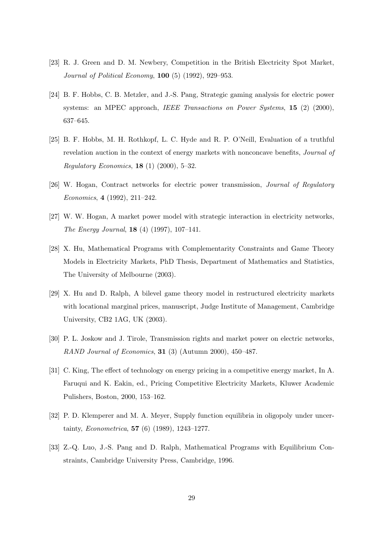- [23] R. J. Green and D. M. Newbery, Competition in the British Electricity Spot Market, Journal of Political Economy, 100 (5) (1992), 929–953.
- [24] B. F. Hobbs, C. B. Metzler, and J.-S. Pang, Strategic gaming analysis for electric power systems: an MPEC approach, *IEEE Transactions on Power Systems*, 15 (2) (2000), 637–645.
- [25] B. F. Hobbs, M. H. Rothkopf, L. C. Hyde and R. P. O'Neill, Evaluation of a truthful revelation auction in the context of energy markets with nonconcave benefits, *Journal of Regulatory Economics*, **18** (1) (2000),  $5-32$ .
- [26] W. Hogan, Contract networks for electric power transmission, Journal of Regulatory Economics, 4 (1992), 211–242.
- [27] W. W. Hogan, A market power model with strategic interaction in electricity networks, The Energy Journal, 18 (4) (1997), 107–141.
- [28] X. Hu, Mathematical Programs with Complementarity Constraints and Game Theory Models in Electricity Markets, PhD Thesis, Department of Mathematics and Statistics, The University of Melbourne (2003).
- [29] X. Hu and D. Ralph, A bilevel game theory model in restructured electricity markets with locational marginal prices, manuscript, Judge Institute of Management, Cambridge University, CB2 1AG, UK (2003).
- [30] P. L. Joskow and J. Tirole, Transmission rights and market power on electric networks, RAND Journal of Economics, 31 (3) (Autumn 2000), 450–487.
- [31] C. King, The effect of technology on energy pricing in a competitive energy market, In A. Faruqui and K. Eakin, ed., Pricing Competitive Electricity Markets, Kluwer Academic Pulishers, Boston, 2000, 153–162.
- [32] P. D. Klemperer and M. A. Meyer, Supply function equilibria in oligopoly under uncertainty, Econometrica, 57 (6) (1989), 1243–1277.
- [33] Z.-Q. Luo, J.-S. Pang and D. Ralph, Mathematical Programs with Equilibrium Constraints, Cambridge University Press, Cambridge, 1996.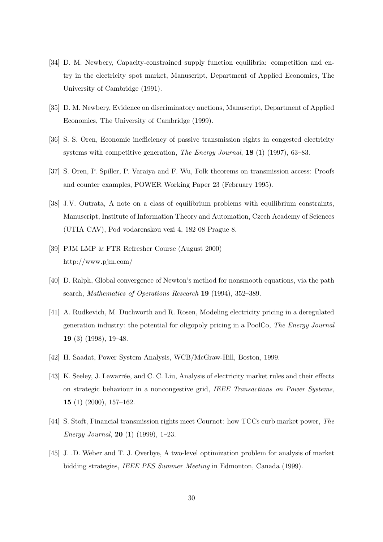- [34] D. M. Newbery, Capacity-constrained supply function equilibria: competition and entry in the electricity spot market, Manuscript, Department of Applied Economics, The University of Cambridge (1991).
- [35] D. M. Newbery, Evidence on discriminatory auctions, Manuscript, Department of Applied Economics, The University of Cambridge (1999).
- [36] S. S. Oren, Economic inefficiency of passive transmission rights in congested electricity systems with competitive generation, The Energy Journal, 18 (1) (1997), 63–83.
- [37] S. Oren, P. Spiller, P. Varaiya and F. Wu, Folk theorems on transmission access: Proofs and counter examples, POWER Working Paper 23 (February 1995).
- [38] J.V. Outrata, A note on a class of equilibrium problems with equilibrium constraints, Manuscript, Institute of Information Theory and Automation, Czech Academy of Sciences (UTIA CAV), Pod vodarenskou vezi 4, 182 08 Prague 8.
- [39] PJM LMP & FTR Refresher Course (August 2000) http://www.pjm.com/
- [40] D. Ralph, Global convergence of Newton's method for nonsmooth equations, via the path search, Mathematics of Operations Research 19 (1994), 352–389.
- [41] A. Rudkevich, M. Duchworth and R. Rosen, Modeling electricity pricing in a deregulated generation industry: the potential for oligopoly pricing in a PoolCo, The Energy Journal 19 (3) (1998), 19–48.
- [42] H. Saadat, Power System Analysis, WCB/McGraw-Hill, Boston, 1999.
- [43] K. Seeley, J. Lawarrée, and C. C. Liu, Analysis of electricity market rules and their effects on strategic behaviour in a noncongestive grid, IEEE Transactions on Power Systems, 15 (1) (2000), 157–162.
- [44] S. Stoft, Financial transmission rights meet Cournot: how TCCs curb market power, The Energy Journal, 20 (1) (1999), 1–23.
- [45] J. .D. Weber and T. J. Overbye, A two-level optimization problem for analysis of market bidding strategies, IEEE PES Summer Meeting in Edmonton, Canada (1999).